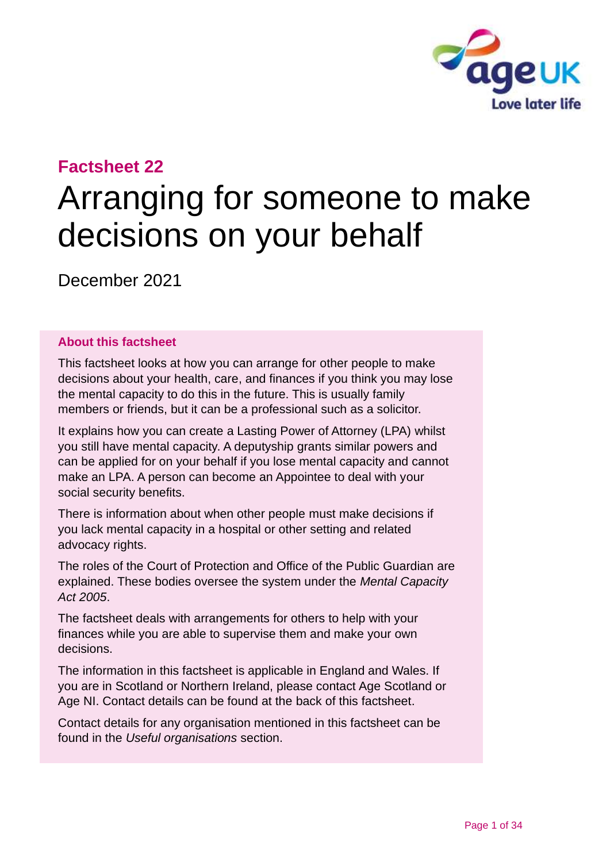

# **Factsheet 22**

# Arranging for someone to make decisions on your behalf

December 2021

#### **About this factsheet**

This factsheet looks at how you can arrange for other people to make decisions about your health, care, and finances if you think you may lose the mental capacity to do this in the future. This is usually family members or friends, but it can be a professional such as a solicitor.

It explains how you can create a Lasting Power of Attorney (LPA) whilst you still have mental capacity. A deputyship grants similar powers and can be applied for on your behalf if you lose mental capacity and cannot make an LPA. A person can become an Appointee to deal with your social security benefits.

There is information about when other people must make decisions if you lack mental capacity in a hospital or other setting and related advocacy rights.

The roles of the Court of Protection and Office of the Public Guardian are explained. These bodies oversee the system under the *Mental Capacity Act 2005*.

The factsheet deals with arrangements for others to help with your finances while you are able to supervise them and make your own decisions.

The information in this factsheet is applicable in England and Wales. If you are in Scotland or Northern Ireland, please contact [Age Scotland or](#page-32-0)  [Age NI.](#page-32-0) Contact details can be found at the [back of this factsheet.](#page-32-0)

Contact details for any organisation mentioned in this factsheet can be found in the *[Useful organisations](#page-30-0)* section.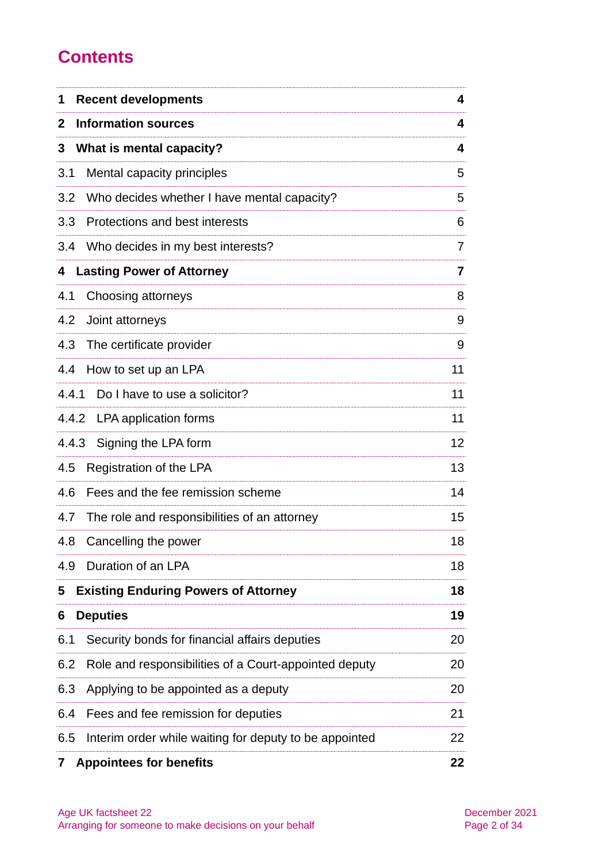# **Contents**

| 1     | <b>Recent developments</b>                             | 4              |
|-------|--------------------------------------------------------|----------------|
| 2     | <b>Information sources</b>                             | 4              |
| 3     | What is mental capacity?                               | 4              |
| 3.1   | Mental capacity principles                             | 5              |
| 3.2   | Who decides whether I have mental capacity?            | 5              |
| 3.3   | Protections and best interests                         | 6              |
| 3.4   | Who decides in my best interests?                      | 7              |
| 4     | <b>Lasting Power of Attorney</b>                       | $\overline{7}$ |
| 4.1   | Choosing attorneys                                     | 8              |
| 4.2   | Joint attorneys                                        | 9              |
| 4.3   | The certificate provider                               | 9              |
| 4.4   | How to set up an LPA                                   | 11             |
| 4.4.1 | Do I have to use a solicitor?                          | 11             |
|       | 4.4.2 LPA application forms                            | 11             |
| 4.4.3 | Signing the LPA form                                   | 12             |
| 4.5   | Registration of the LPA                                | 13             |
| 4.6   | Fees and the fee remission scheme                      | 14             |
| 4.7   | The role and responsibilities of an attorney           | 15             |
| 4.8   | Cancelling the power                                   | 18             |
| 4.9   | Duration of an LPA                                     | 18             |
| 5     | <b>Existing Enduring Powers of Attorney</b>            | 18             |
| 6     | <b>Deputies</b>                                        | 19             |
| 6.1   | Security bonds for financial affairs deputies          | 20             |
| 6.2   | Role and responsibilities of a Court-appointed deputy  | 20             |
| 6.3   | Applying to be appointed as a deputy                   | 20             |
| 6.4   | Fees and fee remission for deputies                    | 21             |
| 6.5   | Interim order while waiting for deputy to be appointed | 22             |
| 7     | <b>Appointees for benefits</b>                         | 22             |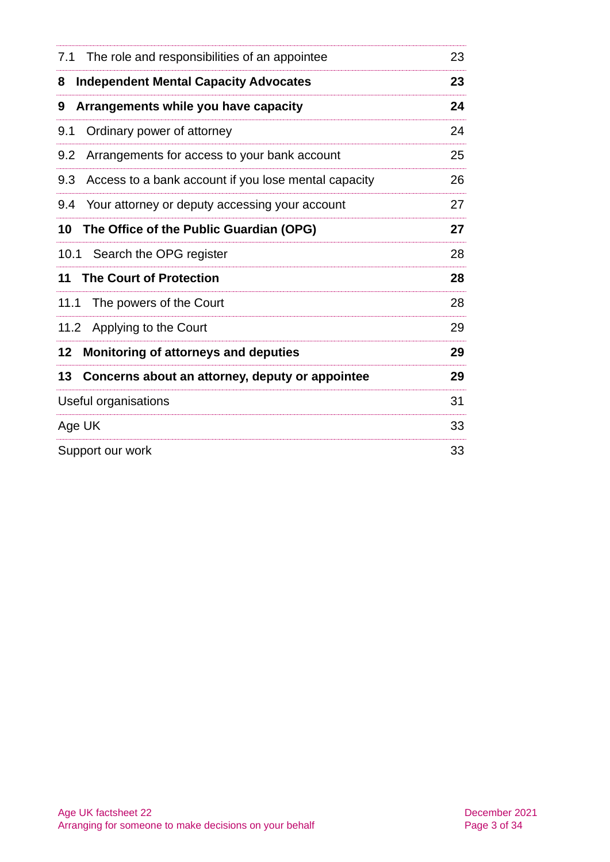| 7.1                  | The role and responsibilities of an appointee        | 23 |
|----------------------|------------------------------------------------------|----|
| 8                    | <b>Independent Mental Capacity Advocates</b>         | 23 |
| 9                    | Arrangements while you have capacity                 | 24 |
| 9.1                  | Ordinary power of attorney                           | 24 |
| 9.2                  | Arrangements for access to your bank account         | 25 |
| 9.3                  | Access to a bank account if you lose mental capacity | 26 |
|                      | 9.4 Your attorney or deputy accessing your account   | 27 |
| 10                   | The Office of the Public Guardian (OPG)              | 27 |
|                      | 10.1 Search the OPG register                         | 28 |
| 11                   | <b>The Court of Protection</b>                       | 28 |
| 11.1                 | The powers of the Court                              | 28 |
|                      | 11.2 Applying to the Court                           | 29 |
| 12                   | <b>Monitoring of attorneys and deputies</b>          | 29 |
| 13                   | Concerns about an attorney, deputy or appointee      | 29 |
| Useful organisations |                                                      | 31 |
| Age UK               |                                                      | 33 |
| Support our work     |                                                      | 33 |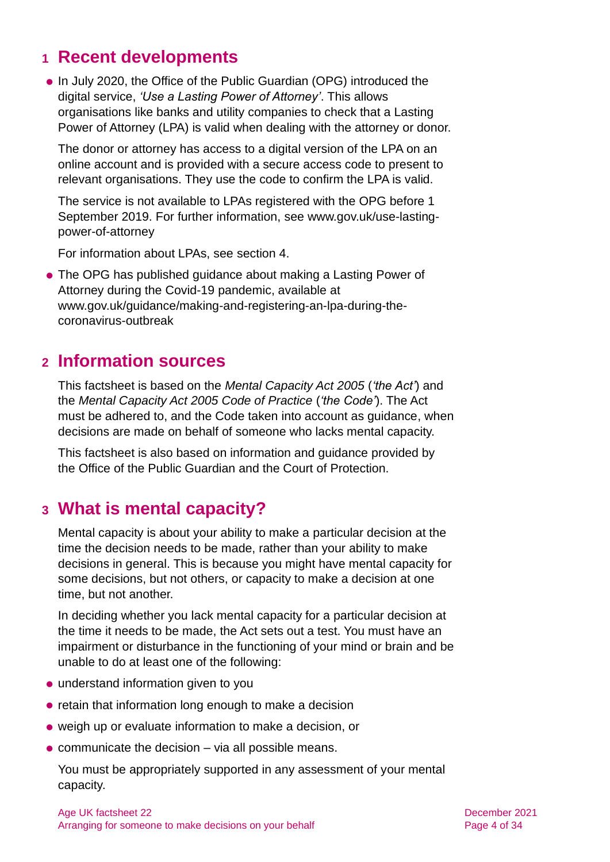# <span id="page-3-0"></span>**1 Recent developments**

⚫ In July 2020, the Office of the Public Guardian (OPG) introduced the digital service, *'Use a Lasting Power of Attorney'*. This allows organisations like banks and utility companies to check that a Lasting Power of Attorney (LPA) is valid when dealing with the attorney or donor.

The donor or attorney has access to a digital version of the LPA on an online account and is provided with a secure access code to present to relevant organisations. They use the code to confirm the LPA is valid.

The service is not available to LPAs registered with the OPG before 1 September 2019. For further information, see [www.gov.uk/use-lasting](http://www.gov.uk/use-lasting-power-of-attorney)[power-of-attorney](http://www.gov.uk/use-lasting-power-of-attorney)

For information about LPAs, see [section 4.](#page-6-0)

● The OPG has published guidance about making a Lasting Power of Attorney during the Covid-19 pandemic, available at [www.gov.uk/guidance/making-and-registering-an-lpa-during-the](http://www.gov.uk/guidance/making-and-registering-an-lpa-during-the-coronavirus-outbreak)[coronavirus-outbreak](http://www.gov.uk/guidance/making-and-registering-an-lpa-during-the-coronavirus-outbreak)

# <span id="page-3-1"></span>**2 Information sources**

This factsheet is based on the *[Mental Capacity Act 2005](http://www.legislation.gov.uk/ukpga/2005/9/contents)* (*'the Act'*) and the *Mental Capacity [Act 2005 Code of Practice](http://www.gov.uk/government/publications/mental-capacity-act-code-of-practice)* (*'the Code'*). The Act must be adhered to, and the Code taken into account as guidance, when decisions are made on behalf of someone who lacks mental capacity.

This factsheet is also based on information and guidance provided by the Office of the Public Guardian and the Court of Protection.

# <span id="page-3-2"></span>**3 What is mental capacity?**

Mental capacity is about your ability to make a particular decision at the time the decision needs to be made, rather than your ability to make decisions in general. This is because you might have mental capacity for some decisions, but not others, or capacity to make a decision at one time, but not another.

In deciding whether you lack mental capacity for a particular decision at the time it needs to be made, the Act sets out a test. You must have an impairment or disturbance in the functioning of your mind or brain and be unable to do at least one of the following:

- ⚫ understand information given to you
- retain that information long enough to make a decision
- ⚫ weigh up or evaluate information to make a decision, or
- communicate the decision via all possible means.

You must be appropriately supported in any assessment of your mental capacity.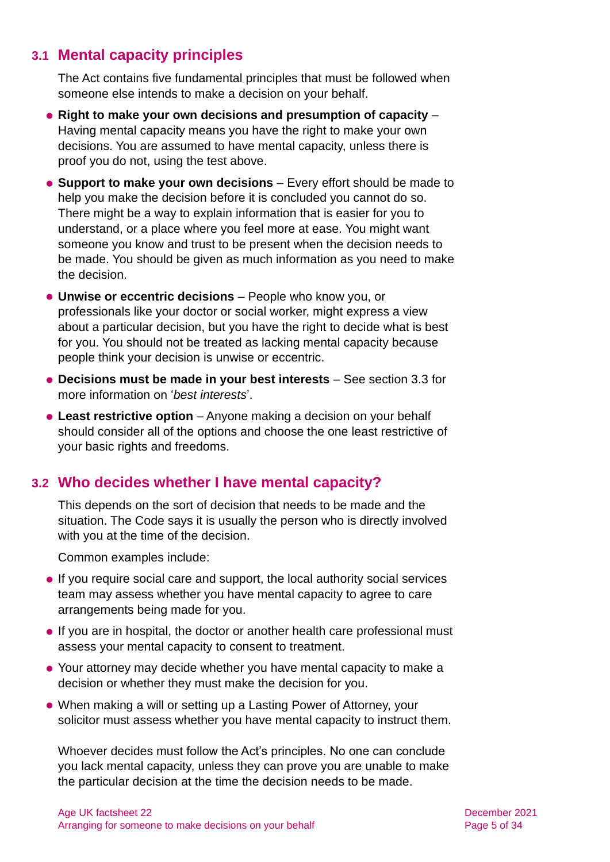# **3.1 Mental capacity principles**

The Act contains five fundamental principles that must be followed when someone else intends to make a decision on your behalf.

- ⚫ **Right to make your own decisions and presumption of capacity**  Having mental capacity means you have the right to make your own decisions. You are assumed to have mental capacity, unless there is proof you do not, using the test above.
- ⚫ **Support to make your own decisions**  Every effort should be made to help you make the decision before it is concluded you cannot do so. There might be a way to explain information that is easier for you to understand, or a place where you feel more at ease. You might want someone you know and trust to be present when the decision needs to be made. You should be given as much information as you need to make the decision.
- ⚫ **Unwise or eccentric decisions**  People who know you, or professionals like your doctor or social worker, might express a view about a particular decision, but you have the right to decide what is best for you. You should not be treated as lacking mental capacity because people think your decision is unwise or eccentric.
- ⚫ **Decisions must be made in your best interests** See [section 3.3](#page-5-0) for more information on '*best interests*'.
- ⚫ **Least restrictive option** Anyone making a decision on your behalf should consider all of the options and choose the one least restrictive of your basic rights and freedoms.

# <span id="page-4-0"></span>**3.2 Who decides whether I have mental capacity?**

This depends on the sort of decision that needs to be made and the situation. The Code says it is usually the person who is directly involved with you at the time of the decision.

Common examples include:

- ⚫ If you require social care and support, the local authority social services team may assess whether you have mental capacity to agree to care arrangements being made for you.
- ⚫ If you are in hospital, the doctor or another health care professional must assess your mental capacity to consent to treatment.
- ⚫ Your attorney may decide whether you have mental capacity to make a decision or whether they must make the decision for you.
- ⚫ When making a will or setting up a Lasting Power of Attorney, your solicitor must assess whether you have mental capacity to instruct them.

Whoever decides must follow the Act's principles. No one can conclude you lack mental capacity, unless they can prove you are unable to make the particular decision at the time the decision needs to be made.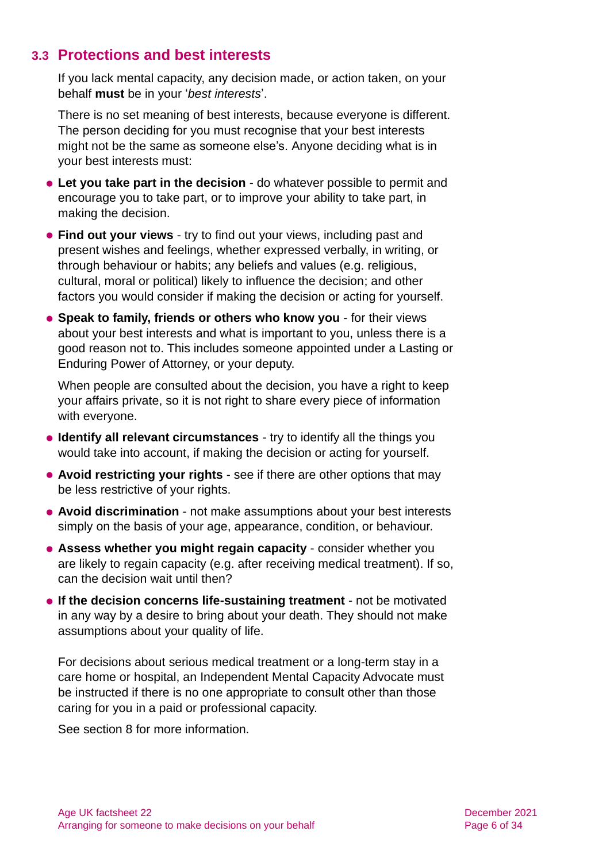### <span id="page-5-0"></span>**3.3 Protections and best interests**

If you lack mental capacity, any decision made, or action taken, on your behalf **must** be in your '*best interests*'.

There is no set meaning of best interests, because everyone is different. The person deciding for you must recognise that your best interests might not be the same as someone else's. Anyone deciding what is in your best interests must:

- ⚫ **Let you take part in the decision** do whatever possible to permit and encourage you to take part, or to improve your ability to take part, in making the decision.
- ⚫ **Find out your views** try to find out your views, including past and present wishes and feelings, whether expressed verbally, in writing, or through behaviour or habits; any beliefs and values (e.g. religious, cultural, moral or political) likely to influence the decision; and other factors you would consider if making the decision or acting for yourself.
- ⚫ **Speak to family, friends or others who know you** for their views about your best interests and what is important to you, unless there is a good reason not to. This includes someone appointed under a Lasting or Enduring Power of Attorney, or your deputy.

When people are consulted about the decision, you have a right to keep your affairs private, so it is not right to share every piece of information with everyone.

- ⚫ **Identify all relevant circumstances** try to identify all the things you would take into account, if making the decision or acting for yourself.
- ⚫ **Avoid restricting your rights** see if there are other options that may be less restrictive of your rights.
- ⚫ **Avoid discrimination** not make assumptions about your best interests simply on the basis of your age, appearance, condition, or behaviour.
- ⚫ **Assess whether you might regain capacity** consider whether you are likely to regain capacity (e.g. after receiving medical treatment). If so, can the decision wait until then?
- ⚫ **If the decision concerns life-sustaining treatment** not be motivated in any way by a desire to bring about your death. They should not make assumptions about your quality of life.

For decisions about serious medical treatment or a long-term stay in a care home or hospital, an Independent Mental Capacity Advocate must be instructed if there is no one appropriate to consult other than those caring for you in a paid or professional capacity.

See [section 8](#page-22-0) for more information.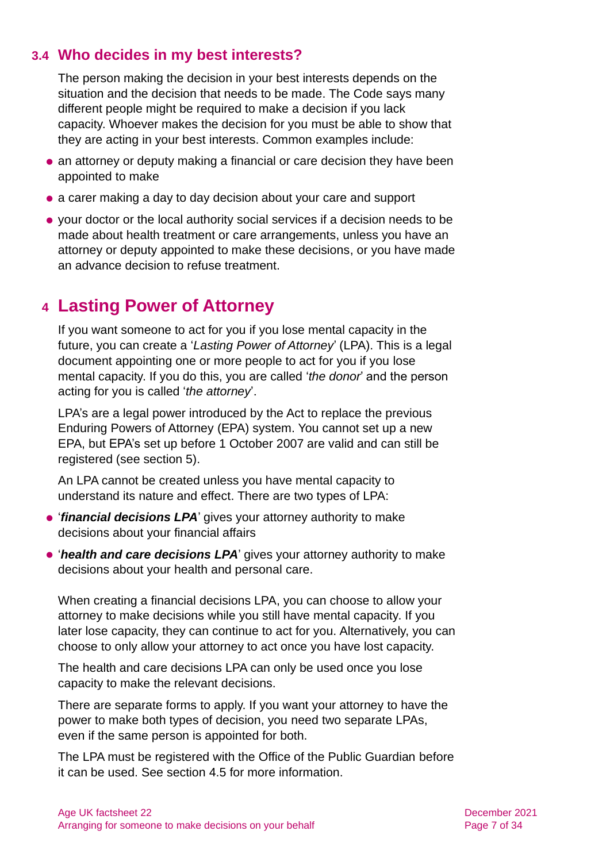# **3.4 Who decides in my best interests?**

The person making the decision in your best interests depends on the situation and the decision that needs to be made. The Code says many different people might be required to make a decision if you lack capacity. Whoever makes the decision for you must be able to show that they are acting in your best interests. Common examples include:

- ⚫ an attorney or deputy making a financial or care decision they have been appointed to make
- a carer making a day to day decision about your care and support
- ⚫ your doctor or the local authority social services if a decision needs to be made about health treatment or care arrangements, unless you have an attorney or deputy appointed to make these decisions, or you have made an advance decision to refuse treatment.

# <span id="page-6-0"></span>**4 Lasting Power of Attorney**

If you want someone to act for you if you lose mental capacity in the future, you can create a '*Lasting Power of Attorney*' (LPA). This is a legal document appointing one or more people to act for you if you lose mental capacity. If you do this, you are called '*the donor*' and the person acting for you is called '*the attorney*'.

LPA's are a legal power introduced by the Act to replace the previous Enduring Powers of Attorney (EPA) system. You cannot set up a new EPA, but EPA's set up before 1 October 2007 are valid and can still be registered [\(see section 5\).](#page-17-0)

An LPA cannot be created unless you have mental capacity to understand its nature and effect. There are two types of LPA:

- **'financial decisions LPA'** gives your attorney authority to make decisions about your financial affairs
- ⚫ '*health and care decisions LPA*' gives your attorney authority to make decisions about your health and personal care.

When creating a financial decisions LPA, you can choose to allow your attorney to make decisions while you still have mental capacity. If you later lose capacity, they can continue to act for you. Alternatively, you can choose to only allow your attorney to act once you have lost capacity.

The health and care decisions LPA can only be used once you lose capacity to make the relevant decisions.

There are separate forms to apply. If you want your attorney to have the power to make both types of decision, you need two separate LPAs, even if the same person is appointed for both.

The LPA must be registered with the Office of the Public Guardian before it can be used. [See section 4.5](#page-12-0) for more information.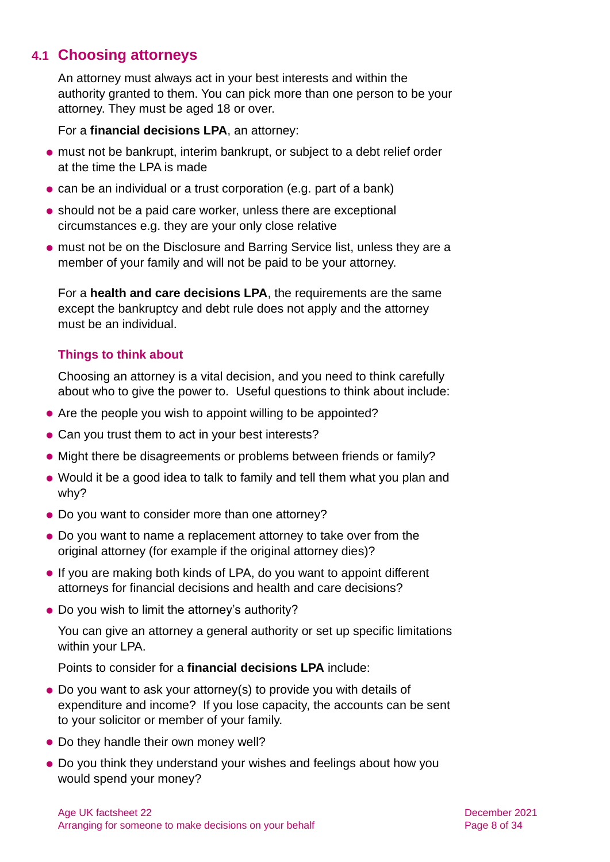# **4.1 Choosing attorneys**

An attorney must always act in your best interests and within the authority granted to them. You can pick more than one person to be your attorney. They must be aged 18 or over.

For a **financial decisions LPA**, an attorney:

- ⚫ must not be bankrupt, interim bankrupt, or subject to a debt relief order at the time the LPA is made
- can be an individual or a trust corporation (e.g. part of a bank)
- ⚫ should not be a paid care worker, unless there are exceptional circumstances e.g. they are your only close relative
- ⚫ must not be on the Disclosure and Barring Service list, unless they are a member of your family and will not be paid to be your attorney.

For a **health and care decisions LPA**, the requirements are the same except the bankruptcy and debt rule does not apply and the attorney must be an individual.

### **Things to think about**

Choosing an attorney is a vital decision, and you need to think carefully about who to give the power to. Useful questions to think about include:

- Are the people you wish to appoint willing to be appointed?
- ⚫ Can you trust them to act in your best interests?
- ⚫ Might there be disagreements or problems between friends or family?
- ⚫ Would it be a good idea to talk to family and tell them what you plan and why?
- ⚫ Do you want to consider more than one attorney?
- ⚫ Do you want to name a replacement attorney to take over from the original attorney (for example if the original attorney dies)?
- If you are making both kinds of LPA, do you want to appoint different attorneys for financial decisions and health and care decisions?
- Do you wish to limit the attorney's authority?

You can give an attorney a general authority or set up specific limitations within your LPA.

Points to consider for a **financial decisions LPA** include:

- ⚫ Do you want to ask your attorney(s) to provide you with details of expenditure and income? If you lose capacity, the accounts can be sent to your solicitor or member of your family.
- Do they handle their own money well?
- ⚫ Do you think they understand your wishes and feelings about how you would spend your money?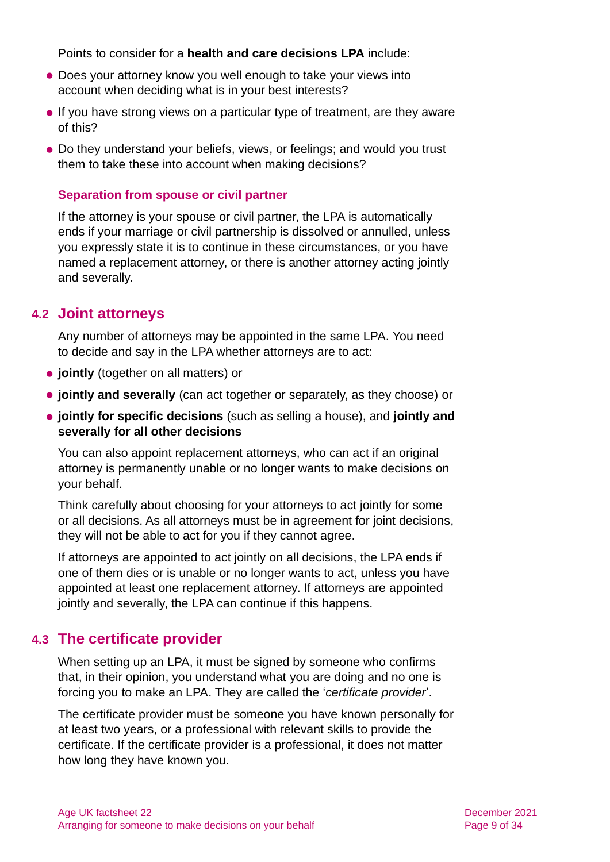Points to consider for a **health and care decisions LPA** include:

- Does your attorney know you well enough to take your views into account when deciding what is in your best interests?
- ⚫ If you have strong views on a particular type of treatment, are they aware of this?
- ⚫ Do they understand your beliefs, views, or feelings; and would you trust them to take these into account when making decisions?

#### **Separation from spouse or civil partner**

If the attorney is your spouse or civil partner, the LPA is automatically ends if your marriage or civil partnership is dissolved or annulled, unless you expressly state it is to continue in these circumstances, or you have named a replacement attorney, or there is another attorney acting jointly and severally.

### **4.2 Joint attorneys**

Any number of attorneys may be appointed in the same LPA. You need to decide and say in the LPA whether attorneys are to act:

- ⚫ **jointly** (together on all matters) or
- ⚫ **jointly and severally** (can act together or separately, as they choose) or
- ⚫ **jointly for specific decisions** (such as selling a house), and **jointly and severally for all other decisions**

You can also appoint replacement attorneys, who can act if an original attorney is permanently unable or no longer wants to make decisions on your behalf.

Think carefully about choosing for your attorneys to act jointly for some or all decisions. As all attorneys must be in agreement for joint decisions, they will not be able to act for you if they cannot agree.

If attorneys are appointed to act jointly on all decisions, the LPA ends if one of them dies or is unable or no longer wants to act, unless you have appointed at least one replacement attorney. If attorneys are appointed jointly and severally, the LPA can continue if this happens.

# **4.3 The certificate provider**

When setting up an LPA, it must be signed by someone who confirms that, in their opinion, you understand what you are doing and no one is forcing you to make an LPA. They are called the '*certificate provider*'.

The certificate provider must be someone you have known personally for at least two years, or a professional with relevant skills to provide the certificate. If the certificate provider is a professional, it does not matter how long they have known you.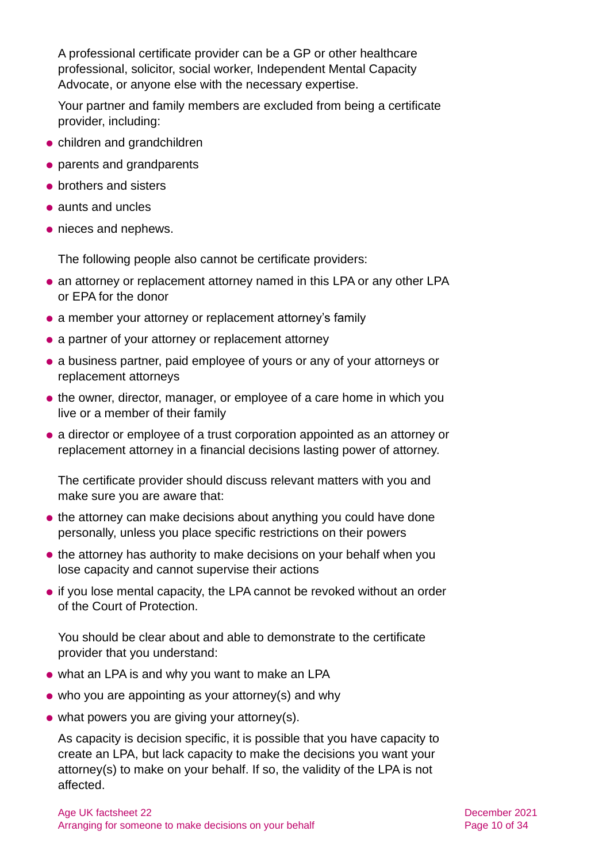A professional certificate provider can be a GP or other healthcare professional, solicitor, social worker, Independent Mental Capacity Advocate, or anyone else with the necessary expertise.

Your partner and family members are excluded from being a certificate provider, including:

- ⚫ children and grandchildren
- ⚫ parents and grandparents
- brothers and sisters
- ⚫ aunts and uncles
- ⚫ nieces and nephews.

The following people also cannot be certificate providers:

- an attorney or replacement attorney named in this LPA or any other LPA or EPA for the donor
- a member your attorney or replacement attorney's family
- a partner of your attorney or replacement attorney
- ⚫ a business partner, paid employee of yours or any of your attorneys or replacement attorneys
- the owner, director, manager, or employee of a care home in which you live or a member of their family
- ⚫ a director or employee of a trust corporation appointed as an attorney or replacement attorney in a financial decisions lasting power of attorney.

The certificate provider should discuss relevant matters with you and make sure you are aware that:

- the attorney can make decisions about anything you could have done personally, unless you place specific restrictions on their powers
- the attorney has authority to make decisions on your behalf when you lose capacity and cannot supervise their actions
- if you lose mental capacity, the LPA cannot be revoked without an order of the Court of Protection.

You should be clear about and able to demonstrate to the certificate provider that you understand:

- ⚫ what an LPA is and why you want to make an LPA
- ⚫ who you are appointing as your attorney(s) and why
- ⚫ what powers you are giving your attorney(s).

As capacity is decision specific, it is possible that you have capacity to create an LPA, but lack capacity to make the decisions you want your attorney(s) to make on your behalf. If so, the validity of the LPA is not affected.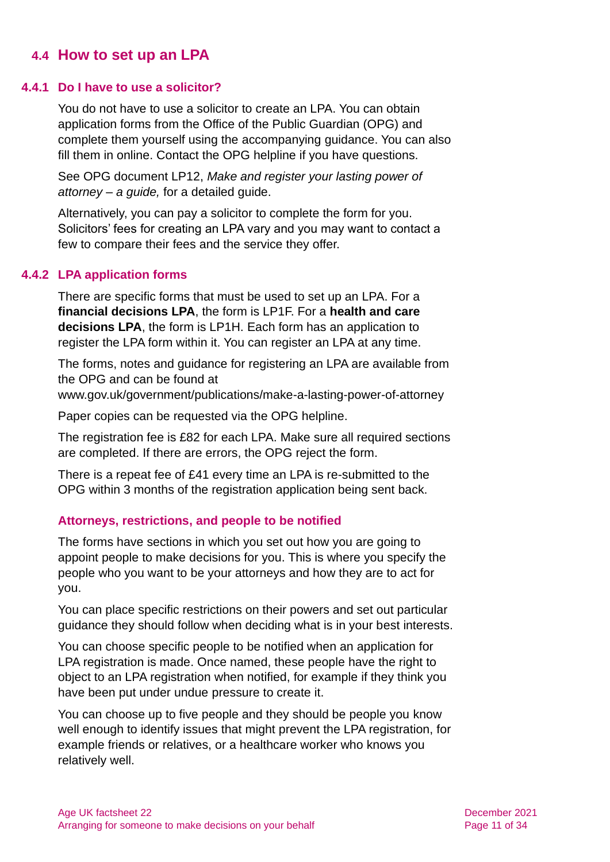# **4.4 How to set up an LPA**

#### **4.4.1 Do I have to use a solicitor?**

You do not have to use a solicitor to create an LPA. You can obtain application forms from the Office of the Public Guardian (OPG) and complete them yourself using the accompanying guidance. You can also fill them in online. Contact the OPG helpline if you have questions.

See OPG document LP12, *[Make and register your lasting power of](https://www.gov.uk/government/publications/make-a-lasting-power-of-attorney/lp12-make-and-register-your-lasting-power-of-attorney-a-guide-web-version)  [attorney –](https://www.gov.uk/government/publications/make-a-lasting-power-of-attorney/lp12-make-and-register-your-lasting-power-of-attorney-a-guide-web-version) a guide,* for a detailed guide.

Alternatively, you can pay a solicitor to complete the form for you. Solicitors' fees for creating an LPA vary and you may want to contact a few to compare their fees and the service they offer.

#### **4.4.2 LPA application forms**

There are specific forms that must be used to set up an LPA. For a **financial decisions LPA**, the form is LP1F. For a **health and care decisions LPA**, the form is LP1H. Each form has an application to register the LPA form within it. You can register an LPA at any time.

The forms, notes and guidance for registering an LPA are available from the OPG and can be found at

[www.gov.uk/government/publications/make-a-lasting-power-of-attorney](http://www.gov.uk/government/publications/make-a-lasting-power-of-attorney)

Paper copies can be requested via the OPG helpline.

The registration fee is £82 for each LPA. Make sure all required sections are completed. If there are errors, the OPG reject the form.

There is a repeat fee of £41 every time an LPA is re-submitted to the OPG within 3 months of the registration application being sent back.

#### **Attorneys, restrictions, and people to be notified**

The forms have sections in which you set out how you are going to appoint people to make decisions for you. This is where you specify the people who you want to be your attorneys and how they are to act for you.

You can place specific restrictions on their powers and set out particular guidance they should follow when deciding what is in your best interests.

You can choose specific people to be notified when an application for LPA registration is made. Once named, these people have the right to object to an LPA registration when notified, for example if they think you have been put under undue pressure to create it.

You can choose up to five people and they should be people you know well enough to identify issues that might prevent the LPA registration, for example friends or relatives, or a healthcare worker who knows you relatively well.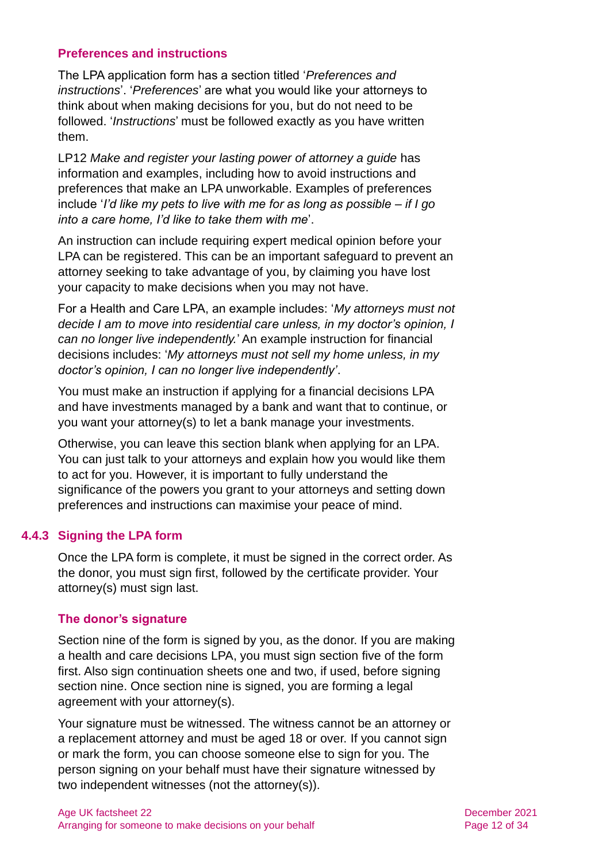#### **Preferences and instructions**

The LPA application form has a section titled '*Preferences and instructions*'. '*Preferences*' are what you would like your attorneys to think about when making decisions for you, but do not need to be followed. '*Instructions*' must be followed exactly as you have written them.

LP12 *Make and register your lasting power of attorney a guide* has information and examples, including how to avoid instructions and preferences that make an LPA unworkable. Examples of preferences include '*I'd like my pets to live with me for as long as possible – if I go into a care home, I'd like to take them with me*'.

An instruction can include requiring expert medical opinion before your LPA can be registered. This can be an important safeguard to prevent an attorney seeking to take advantage of you, by claiming you have lost your capacity to make decisions when you may not have.

For a Health and Care LPA, an example includes: '*My attorneys must not decide I am to move into residential care unless, in my doctor's opinion, I can no longer live independently.*' An example instruction for financial decisions includes: '*My attorneys must not sell my home unless, in my doctor's opinion, I can no longer live independently'*.

You must make an instruction if applying for a financial decisions LPA and have investments managed by a bank and want that to continue, or you want your attorney(s) to let a bank manage your investments.

Otherwise, you can leave this section blank when applying for an LPA. You can just talk to your attorneys and explain how you would like them to act for you. However, it is important to fully understand the significance of the powers you grant to your attorneys and setting down preferences and instructions can maximise your peace of mind.

#### **4.4.3 Signing the LPA form**

Once the LPA form is complete, it must be signed in the correct order. As the donor, you must sign first, followed by the certificate provider. Your attorney(s) must sign last.

#### **The donor's signature**

Section nine of the form is signed by you, as the donor. If you are making a health and care decisions LPA, you must sign section five of the form first. Also sign continuation sheets one and two, if used, before signing section nine. Once section nine is signed, you are forming a legal agreement with your attorney(s).

Your signature must be witnessed. The witness cannot be an attorney or a replacement attorney and must be aged 18 or over. If you cannot sign or mark the form, you can choose someone else to sign for you. The person signing on your behalf must have their signature witnessed by two independent witnesses (not the attorney(s)).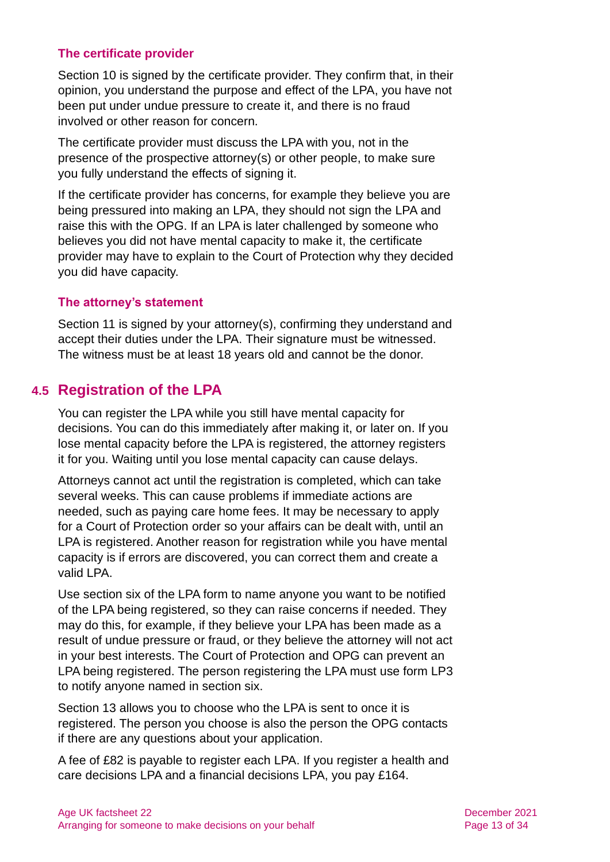#### **The certificate provider**

Section 10 is signed by the certificate provider. They confirm that, in their opinion, you understand the purpose and effect of the LPA, you have not been put under undue pressure to create it, and there is no fraud involved or other reason for concern.

The certificate provider must discuss the LPA with you, not in the presence of the prospective attorney(s) or other people, to make sure you fully understand the effects of signing it.

If the certificate provider has concerns, for example they believe you are being pressured into making an LPA, they should not sign the LPA and raise this with the OPG. If an LPA is later challenged by someone who believes you did not have mental capacity to make it, the certificate provider may have to explain to the Court of Protection why they decided you did have capacity.

#### **The attorney's statement**

Section 11 is signed by your attorney(s), confirming they understand and accept their duties under the LPA. Their signature must be witnessed. The witness must be at least 18 years old and cannot be the donor.

# <span id="page-12-0"></span>**4.5 Registration of the LPA**

You can register the LPA while you still have mental capacity for decisions. You can do this immediately after making it, or later on. If you lose mental capacity before the LPA is registered, the attorney registers it for you. Waiting until you lose mental capacity can cause delays.

Attorneys cannot act until the registration is completed, which can take several weeks. This can cause problems if immediate actions are needed, such as paying care home fees. It may be necessary to apply for a Court of Protection order so your affairs can be dealt with, until an LPA is registered. Another reason for registration while you have mental capacity is if errors are discovered, you can correct them and create a valid LPA.

Use section six of the LPA form to name anyone you want to be notified of the LPA being registered, so they can raise concerns if needed. They may do this, for example, if they believe your LPA has been made as a result of undue pressure or fraud, or they believe the attorney will not act in your best interests. The Court of Protection and OPG can prevent an LPA being registered. The person registering the LPA must use form LP3 to notify anyone named in section six.

Section 13 allows you to choose who the LPA is sent to once it is registered. The person you choose is also the person the OPG contacts if there are any questions about your application.

A fee of £82 is payable to register each LPA. If you register a health and care decisions LPA and a financial decisions LPA, you pay £164.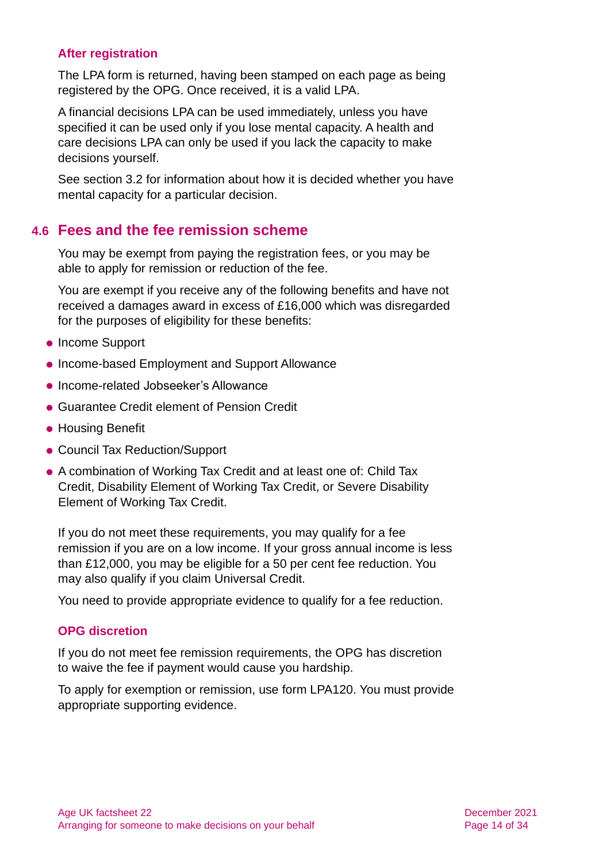#### **After registration**

The LPA form is returned, having been stamped on each page as being registered by the OPG. Once received, it is a valid LPA.

A financial decisions LPA can be used immediately, unless you have specified it can be used only if you lose mental capacity. A health and care decisions LPA can only be used if you lack the capacity to make decisions yourself.

<span id="page-13-0"></span>See [section 3.2](#page-4-0) for information about how it is decided whether you have mental capacity for a particular decision.

### **4.6 Fees and the fee remission scheme**

You may be exempt from paying the registration fees, or you may be able to apply for remission or reduction of the fee.

You are exempt if you receive any of the following benefits and have not received a damages award in excess of £16,000 which was disregarded for the purposes of eligibility for these benefits:

- Income Support
- ⚫ Income-based Employment and Support Allowance
- ⚫ Income-related Jobseeker's Allowance
- ⚫ Guarantee Credit element of Pension Credit
- Housing Benefit
- ⚫ Council Tax Reduction/Support
- ⚫ A combination of Working Tax Credit and at least one of: Child Tax Credit, Disability Element of Working Tax Credit, or Severe Disability Element of Working Tax Credit.

If you do not meet these requirements, you may qualify for a fee remission if you are on a low income. If your gross annual income is less than £12,000, you may be eligible for a 50 per cent fee reduction. You may also qualify if you claim Universal Credit.

You need to provide appropriate evidence to qualify for a fee reduction.

#### **OPG discretion**

If you do not meet fee remission requirements, the OPG has discretion to waive the fee if payment would cause you hardship.

To apply for exemption or remission, use [form LPA120.](https://www.gov.uk/government/publications/power-of-attorney-fees) You must provide appropriate supporting evidence.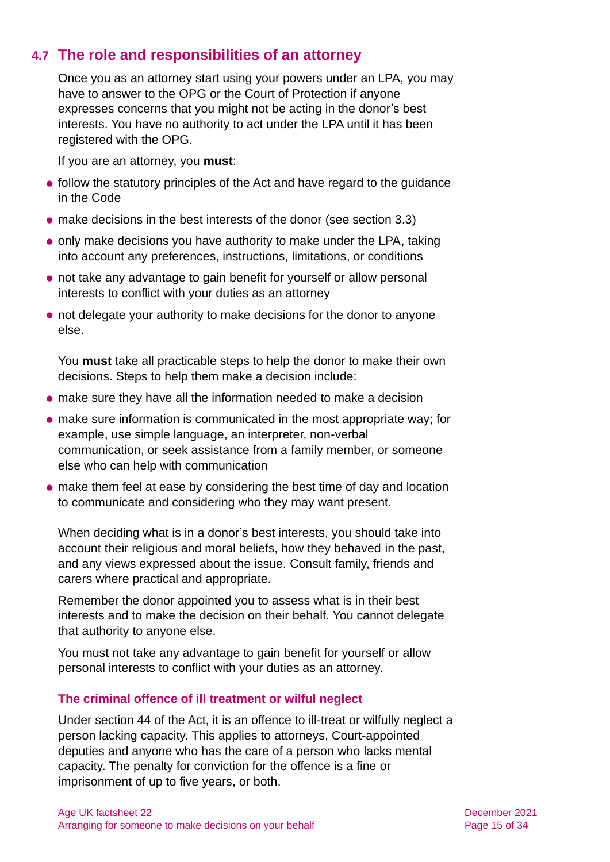# **4.7 The role and responsibilities of an attorney**

Once you as an attorney start using your powers under an LPA, you may have to answer to the OPG or the Court of Protection if anyone expresses concerns that you might not be acting in the donor's best interests. You have no authority to act under the LPA until it has been registered with the OPG.

If you are an attorney, you **must**:

- follow the statutory principles of the Act and have regard to the guidance in the Code
- ⚫ make decisions in the best interests of the donor [\(see section 3.3\)](#page-5-0)
- ⚫ only make decisions you have authority to make under the LPA, taking into account any preferences, instructions, limitations, or conditions
- ⚫ not take any advantage to gain benefit for yourself or allow personal interests to conflict with your duties as an attorney
- ⚫ not delegate your authority to make decisions for the donor to anyone else.

You **must** take all practicable steps to help the donor to make their own decisions. Steps to help them make a decision include:

- ⚫ make sure they have all the information needed to make a decision
- ⚫ make sure information is communicated in the most appropriate way; for example, use simple language, an interpreter, non-verbal communication, or seek assistance from a family member, or someone else who can help with communication
- ⚫ make them feel at ease by considering the best time of day and location to communicate and considering who they may want present.

When deciding what is in a donor's best interests, you should take into account their religious and moral beliefs, how they behaved in the past, and any views expressed about the issue. Consult family, friends and carers where practical and appropriate.

Remember the donor appointed you to assess what is in their best interests and to make the decision on their behalf. You cannot delegate that authority to anyone else.

You must not take any advantage to gain benefit for yourself or allow personal interests to conflict with your duties as an attorney.

#### **The criminal offence of ill treatment or wilful neglect**

Under section 44 of the Act, it is an offence to ill-treat or wilfully neglect a person lacking capacity. This applies to attorneys, Court-appointed deputies and anyone who has the care of a person who lacks mental capacity. The penalty for conviction for the offence is a fine or imprisonment of up to five years, or both.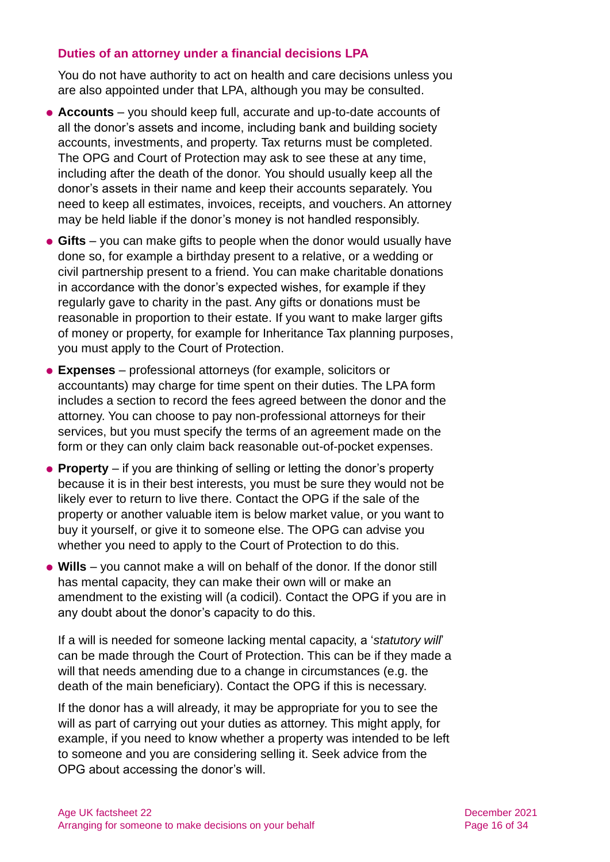#### **Duties of an attorney under a financial decisions LPA**

You do not have authority to act on health and care decisions unless you are also appointed under that LPA, although you may be consulted.

- ⚫ **Accounts** you should keep full, accurate and up-to-date accounts of all the donor's assets and income, including bank and building society accounts, investments, and property. Tax returns must be completed. The OPG and Court of Protection may ask to see these at any time, including after the death of the donor. You should usually keep all the donor's assets in their name and keep their accounts separately. You need to keep all estimates, invoices, receipts, and vouchers. An attorney may be held liable if the donor's money is not handled responsibly.
- ⚫ **Gifts** you can make gifts to people when the donor would usually have done so, for example a birthday present to a relative, or a wedding or civil partnership present to a friend. You can make charitable donations in accordance with the donor's expected wishes, for example if they regularly gave to charity in the past. Any gifts or donations must be reasonable in proportion to their estate. If you want to make larger gifts of money or property, for example for Inheritance Tax planning purposes, you must apply to the Court of Protection.
- ⚫ **Expenses** professional attorneys (for example, solicitors or accountants) may charge for time spent on their duties. The LPA form includes a section to record the fees agreed between the donor and the attorney. You can choose to pay non-professional attorneys for their services, but you must specify the terms of an agreement made on the form or they can only claim back reasonable out-of-pocket expenses.
- **Property** if you are thinking of selling or letting the donor's property because it is in their best interests, you must be sure they would not be likely ever to return to live there. Contact the OPG if the sale of the property or another valuable item is below market value, or you want to buy it yourself, or give it to someone else. The OPG can advise you whether you need to apply to the Court of Protection to do this.
- ⚫ **Wills** you cannot make a will on behalf of the donor. If the donor still has mental capacity, they can make their own will or make an amendment to the existing will (a codicil). Contact the OPG if you are in any doubt about the donor's capacity to do this.

If a will is needed for someone lacking mental capacity, a '*statutory will*' can be made through the Court of Protection. This can be if they made a will that needs amending due to a change in circumstances (e.g. the death of the main beneficiary). Contact the OPG if this is necessary.

If the donor has a will already, it may be appropriate for you to see the will as part of carrying out your duties as attorney. This might apply, for example, if you need to know whether a property was intended to be left to someone and you are considering selling it. Seek advice from the OPG about accessing the donor's will.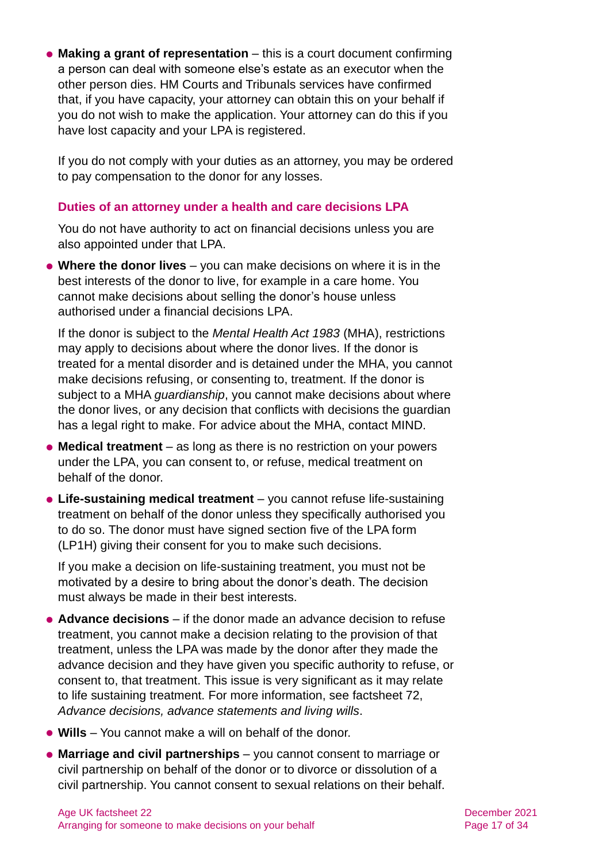⚫ **Making a grant of representation** – this is a court document confirming a person can deal with someone else's estate as an executor when the other person dies. HM Courts and Tribunals services have confirmed that, if you have capacity, your attorney can obtain this on your behalf if you do not wish to make the application. Your attorney can do this if you have lost capacity and your LPA is registered.

If you do not comply with your duties as an attorney, you may be ordered to pay compensation to the donor for any losses.

#### **Duties of an attorney under a health and care decisions LPA**

You do not have authority to act on financial decisions unless you are also appointed under that LPA.

⚫ **Where the donor lives** – you can make decisions on where it is in the best interests of the donor to live, for example in a care home. You cannot make decisions about selling the donor's house unless authorised under a financial decisions LPA.

If the donor is subject to the *Mental Health Act 1983* (MHA), restrictions may apply to decisions about where the donor lives. If the donor is treated for a mental disorder and is detained under the MHA, you cannot make decisions refusing, or consenting to, treatment. If the donor is subject to a MHA *guardianship*, you cannot make decisions about where the donor lives, or any decision that conflicts with decisions the guardian has a legal right to make. For advice about the MHA, contact MIND.

- ⚫ **Medical treatment** as long as there is no restriction on your powers under the LPA, you can consent to, or refuse, medical treatment on behalf of the donor.
- ⚫ **Life-sustaining medical treatment** you cannot refuse life-sustaining treatment on behalf of the donor unless they specifically authorised you to do so. The donor must have signed section five of the LPA form (LP1H) giving their consent for you to make such decisions.

If you make a decision on life-sustaining treatment, you must not be motivated by a desire to bring about the donor's death. The decision must always be made in their best interests.

- ⚫ **Advance decisions** if the donor made an advance decision to refuse treatment, you cannot make a decision relating to the provision of that treatment, unless the LPA was made by the donor after they made the advance decision and they have given you specific authority to refuse, or consent to, that treatment. This issue is very significant as it may relate to life sustaining treatment. For more information, see factsheet 72, *[Advance decisions, advance statements and living wills](https://www.ageuk.org.uk/globalassets/age-uk/documents/factsheets/fs72_advance_decisions_advance_statements_and_living_wills_fcs.pdf)*.
- ⚫ **Wills** You cannot make a will on behalf of the donor.
- ⚫ **Marriage and civil partnerships** you cannot consent to marriage or civil partnership on behalf of the donor or to divorce or dissolution of a civil partnership. You cannot consent to sexual relations on their behalf.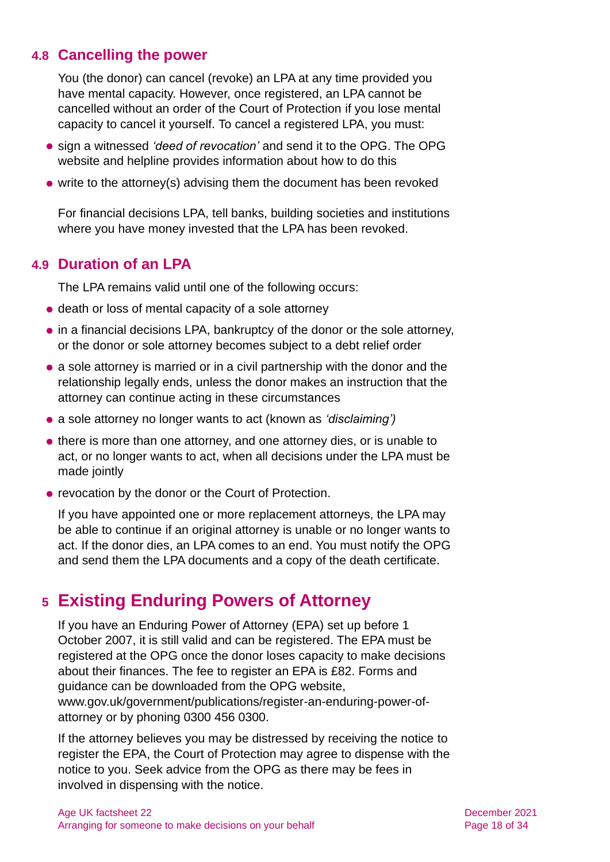# **4.8 Cancelling the power**

You (the donor) can cancel (revoke) an LPA at any time provided you have mental capacity. However, once registered, an LPA cannot be cancelled without an order of the Court of Protection if you lose mental capacity to cancel it yourself. To cancel a registered LPA, you must:

- ⚫ sign a witnessed *'deed of revocation'* and send it to the OPG. The OPG website and helpline provides information about how to do this
- write to the attorney(s) advising them the document has been revoked

For financial decisions LPA, tell banks, building societies and institutions where you have money invested that the LPA has been revoked.

# **4.9 Duration of an LPA**

The LPA remains valid until one of the following occurs:

- death or loss of mental capacity of a sole attorney
- in a financial decisions LPA, bankruptcy of the donor or the sole attorney, or the donor or sole attorney becomes subject to a debt relief order
- ⚫ a sole attorney is married or in a civil partnership with the donor and the relationship legally ends, unless the donor makes an instruction that the attorney can continue acting in these circumstances
- ⚫ a sole attorney no longer wants to act (known as *'disclaiming')*
- there is more than one attorney, and one attorney dies, or is unable to act, or no longer wants to act, when all decisions under the LPA must be made jointly
- ⚫ revocation by the donor or the Court of Protection.

If you have appointed one or more replacement attorneys, the LPA may be able to continue if an original attorney is unable or no longer wants to act. If the donor dies, an LPA comes to an end. You must notify the OPG and send them the LPA documents and a copy of the death certificate.

# <span id="page-17-0"></span>**5 Existing Enduring Powers of Attorney**

If you have an Enduring Power of Attorney (EPA) set up before 1 October 2007, it is still valid and can be registered. The EPA must be registered at the OPG once the donor loses capacity to make decisions about their finances. The fee to register an EPA is £82. Forms and guidance can be downloaded from the OPG website, [www.gov.uk/government/publications/register-an-enduring-power-of](http://www.gov.uk/government/publications/register-an-enduring-power-of-attorney)[attorney](http://www.gov.uk/government/publications/register-an-enduring-power-of-attorney) or by phoning 0300 456 0300.

If the attorney believes you may be distressed by receiving the notice to register the EPA, the Court of Protection may agree to dispense with the notice to you. Seek advice from the OPG as there may be fees in involved in dispensing with the notice.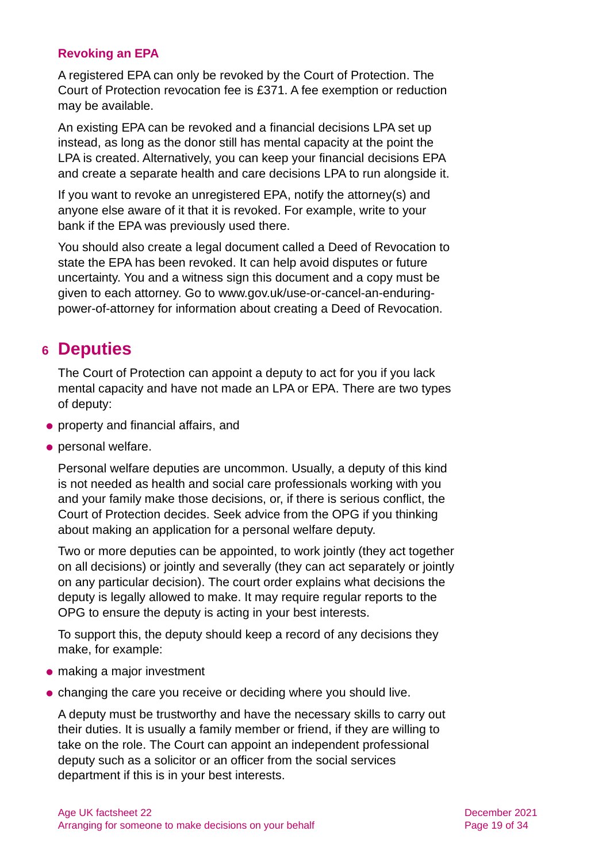#### **Revoking an EPA**

A registered EPA can only be revoked by the Court of Protection. The Court of Protection revocation fee is £371. A fee exemption or reduction may be available.

An existing EPA can be revoked and a financial decisions LPA set up instead, as long as the donor still has mental capacity at the point the LPA is created. Alternatively, you can keep your financial decisions EPA and create a separate health and care decisions LPA to run alongside it.

If you want to revoke an unregistered EPA, notify the attorney(s) and anyone else aware of it that it is revoked. For example, write to your bank if the EPA was previously used there.

You should also create a legal document called a Deed of Revocation to state the EPA has been revoked. It can help avoid disputes or future uncertainty. You and a witness sign this document and a copy must be given to each attorney. Go to [www.gov.uk/use-or-cancel-an-enduring](http://www.gov.uk/use-or-cancel-an-enduring-power-of-attorney)[power-of-attorney](http://www.gov.uk/use-or-cancel-an-enduring-power-of-attorney) for information about creating a Deed of Revocation.

# <span id="page-18-0"></span>**6 Deputies**

The Court of Protection can appoint a deputy to act for you if you lack mental capacity and have not made an LPA or EPA. There are two types of deputy:

- ⚫ property and financial affairs, and
- ⚫ personal welfare.

Personal welfare deputies are uncommon. Usually, a deputy of this kind is not needed as health and social care professionals working with you and your family make those decisions, or, if there is serious conflict, the Court of Protection decides. Seek advice from the OPG if you thinking about making an application for a personal welfare deputy.

Two or more deputies can be appointed, to work jointly (they act together on all decisions) or jointly and severally (they can act separately or jointly on any particular decision). The court order explains what decisions the deputy is legally allowed to make. It may require regular reports to the OPG to ensure the deputy is acting in your best interests.

To support this, the deputy should keep a record of any decisions they make, for example:

- making a major investment
- ⚫ changing the care you receive or deciding where you should live.

A deputy must be trustworthy and have the necessary skills to carry out their duties. It is usually a family member or friend, if they are willing to take on the role. The Court can appoint an independent professional deputy such as a solicitor or an officer from the social services department if this is in your best interests.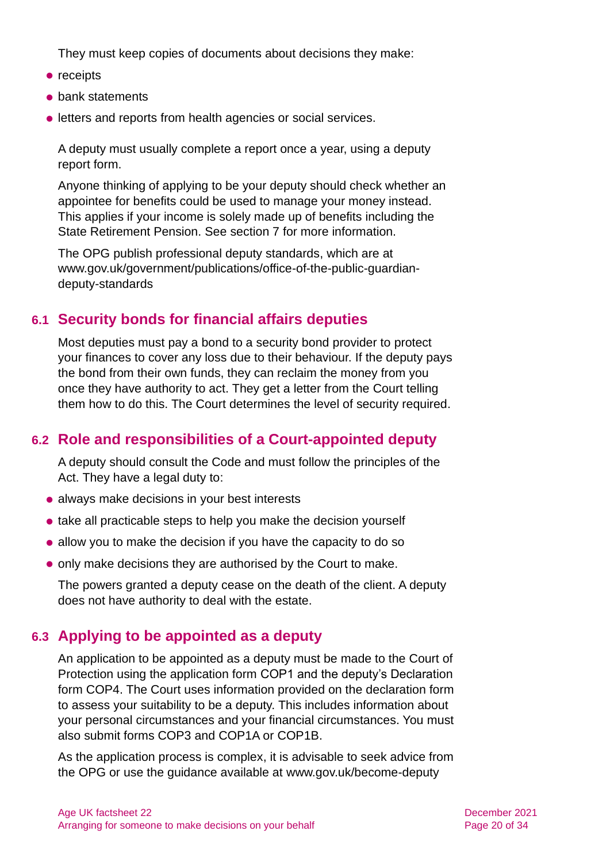They must keep copies of documents about decisions they make:

- receipts
- bank statements
- ⚫ letters and reports from health agencies or social services.

A deputy must usually complete a report once a year, using a deputy report form.

Anyone thinking of applying to be your deputy should check whether an appointee for benefits could be used to manage your money instead. This applies if your income is solely made up of benefits including the State Retirement Pension. See [section 7](#page-21-0) for more information.

The OPG publish professional deputy standards, which are at [www.gov.uk/government/publications/office-of-the-public-guardian](http://www.gov.uk/government/publications/office-of-the-public-guardian-deputy-standards)[deputy-standards](http://www.gov.uk/government/publications/office-of-the-public-guardian-deputy-standards)

# **6.1 Security bonds for financial affairs deputies**

Most deputies must pay a bond to a security bond provider to protect your finances to cover any loss due to their behaviour. If the deputy pays the bond from their own funds, they can reclaim the money from you once they have authority to act. They get a letter from the Court telling them how to do this. The Court determines the level of security required.

# **6.2 Role and responsibilities of a Court-appointed deputy**

A deputy should consult the Code and must follow the principles of the Act. They have a legal duty to:

- ⚫ always make decisions in your best interests
- take all practicable steps to help you make the decision yourself
- ⚫ allow you to make the decision if you have the capacity to do so
- ⚫ only make decisions they are authorised by the Court to make.

The powers granted a deputy cease on the death of the client. A deputy does not have authority to deal with the estate.

# **6.3 Applying to be appointed as a deputy**

An application to be appointed as a deputy must be made to the Court of Protection using the application form COP1 and the deputy's Declaration form COP4. The Court uses information provided on the declaration form to assess your suitability to be a deputy. This includes information about your personal circumstances and your financial circumstances. You must also submit forms COP3 and COP1A or COP1B.

As the application process is complex, it is advisable to seek advice from the OPG or use the guidance available at [www.gov.uk/become-deputy](https://www.gov.uk/become-deputy)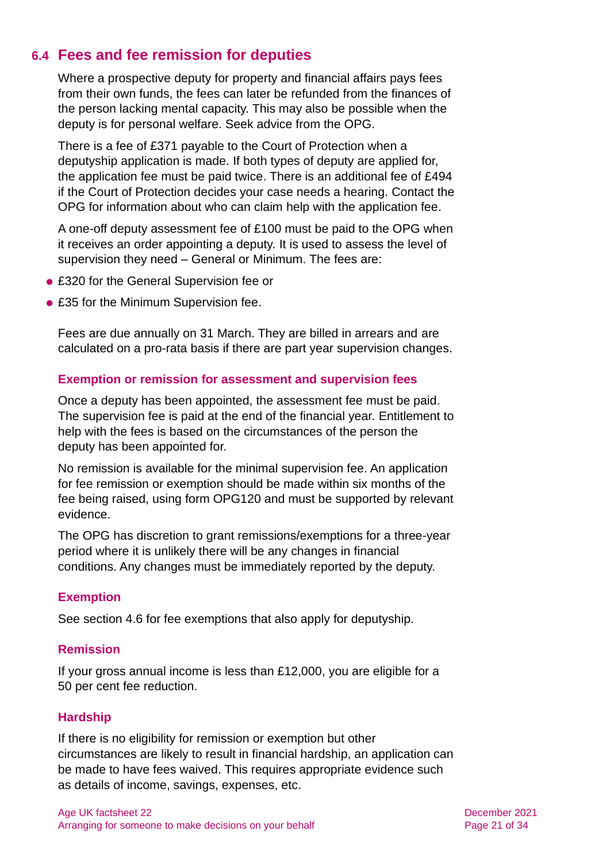# **6.4 Fees and fee remission for deputies**

Where a prospective deputy for property and financial affairs pays fees from their own funds, the fees can later be refunded from the finances of the person lacking mental capacity. This may also be possible when the deputy is for personal welfare. Seek advice from the OPG.

There is a fee of £371 payable to the Court of Protection when a deputyship application is made. If both types of deputy are applied for, the application fee must be paid twice. There is an additional fee of £494 if the Court of Protection decides your case needs a hearing. Contact the OPG for information about who can claim help with the application fee.

A one-off deputy assessment fee of £100 must be paid to the OPG when it receives an order appointing a deputy. It is used to assess the level of supervision they need – General or Minimum. The fees are:

- £320 for the General Supervision fee or
- £35 for the Minimum Supervision fee.

Fees are due annually on 31 March. They are billed in arrears and are calculated on a pro-rata basis if there are part year supervision changes.

#### **Exemption or remission for assessment and supervision fees**

Once a deputy has been appointed, the assessment fee must be paid. The supervision fee is paid at the end of the financial year. Entitlement to help with the fees is based on the circumstances of the person the deputy has been appointed for.

No remission is available for the minimal supervision fee. An application for fee remission or exemption should be made within six months of the fee being raised, using [form OPG120](https://www.gov.uk/government/publications/deputy-fees-remission-or-exemption) and must be supported by relevant evidence.

The OPG has discretion to grant remissions/exemptions for a three-year period where it is unlikely there will be any changes in financial conditions. Any changes must be immediately reported by the deputy.

#### **Exemption**

[See section 4.6](#page-13-0) for fee exemptions that also apply for deputyship.

#### **Remission**

If your gross annual income is less than £12,000, you are eligible for a 50 per cent fee reduction.

#### **Hardship**

If there is no eligibility for remission or exemption but other circumstances are likely to result in financial hardship, an application can be made to have fees waived. This requires appropriate evidence such as details of income, savings, expenses, etc.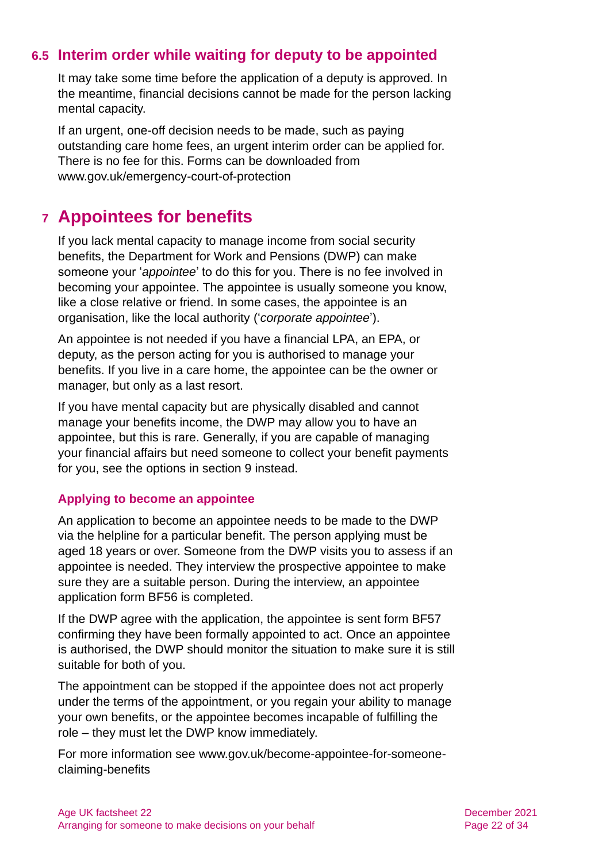# **6.5 Interim order while waiting for deputy to be appointed**

It may take some time before the application of a deputy is approved. In the meantime, financial decisions cannot be made for the person lacking mental capacity.

If an urgent, one-off decision needs to be made, such as paying outstanding care home fees, an urgent interim order can be applied for. There is no fee for this. Forms can be downloaded from [www.gov.uk/emergency-court-of-protection](http://www.gov.uk/emergency-court-of-protection)

# <span id="page-21-0"></span>**7 Appointees for benefits**

If you lack mental capacity to manage income from social security benefits, the Department for Work and Pensions (DWP) can make someone your '*appointee*' to do this for you. There is no fee involved in becoming your appointee. The appointee is usually someone you know, like a close relative or friend. In some cases, the appointee is an organisation, like the local authority ('*corporate appointee*').

An appointee is not needed if you have a financial LPA, an EPA, or deputy, as the person acting for you is authorised to manage your benefits. If you live in a care home, the appointee can be the owner or manager, but only as a last resort.

If you have mental capacity but are physically disabled and cannot manage your benefits income, the DWP may allow you to have an appointee, but this is rare. Generally, if you are capable of managing your financial affairs but need someone to collect your benefit payments for you, see the options in [section 9](#page-23-0) instead.

#### **Applying to become an appointee**

An application to become an appointee needs to be made to the DWP via the helpline for a particular benefit. The person applying must be aged 18 years or over. Someone from the DWP visits you to assess if an appointee is needed. They interview the prospective appointee to make sure they are a suitable person. During the interview, an appointee application form BF56 is completed.

If the DWP agree with the application, the appointee is sent form BF57 confirming they have been formally appointed to act. Once an appointee is authorised, the DWP should monitor the situation to make sure it is still suitable for both of you.

The appointment can be stopped if the appointee does not act properly under the terms of the appointment, or you regain your ability to manage your own benefits, or the appointee becomes incapable of fulfilling the role – they must let the DWP know immediately.

For more information see [www.gov.uk/become-appointee-for-someone](http://www.gov.uk/become-appointee-for-someone-claiming-benefits)[claiming-benefits](http://www.gov.uk/become-appointee-for-someone-claiming-benefits)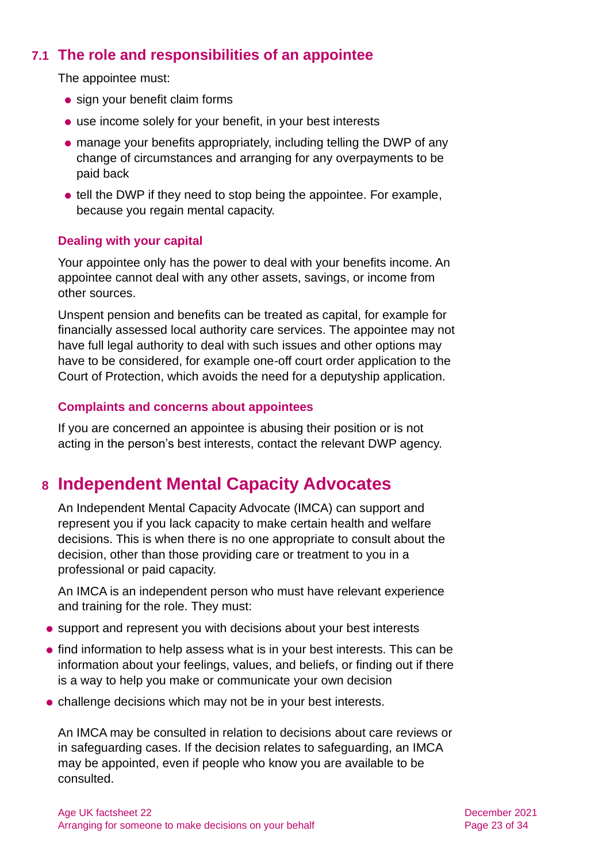# **7.1 The role and responsibilities of an appointee**

The appointee must:

- sign your benefit claim forms
- use income solely for your benefit, in your best interests
- ⚫ manage your benefits appropriately, including telling the DWP of any change of circumstances and arranging for any overpayments to be paid back
- tell the DWP if they need to stop being the appointee. For example, because you regain mental capacity.

#### **Dealing with your capital**

Your appointee only has the power to deal with your benefits income. An appointee cannot deal with any other assets, savings, or income from other sources.

Unspent pension and benefits can be treated as capital, for example for financially assessed local authority care services. The appointee may not have full legal authority to deal with such issues and other options may have to be considered, for example one-off court order application to the Court of Protection, which avoids the need for a deputyship application.

#### **Complaints and concerns about appointees**

If you are concerned an appointee is abusing their position or is not acting in the person's best interests, contact the relevant DWP agency.

# <span id="page-22-0"></span>**8 Independent Mental Capacity Advocates**

An Independent Mental Capacity Advocate (IMCA) can support and represent you if you lack capacity to make certain health and welfare decisions. This is when there is no one appropriate to consult about the decision, other than those providing care or treatment to you in a professional or paid capacity.

An IMCA is an independent person who must have relevant experience and training for the role. They must:

- ⚫ support and represent you with decisions about your best interests
- find information to help assess what is in your best interests. This can be information about your feelings, values, and beliefs, or finding out if there is a way to help you make or communicate your own decision
- ⚫ challenge decisions which may not be in your best interests.

An IMCA may be consulted in relation to decisions about care reviews or in safeguarding cases. If the decision relates to safeguarding, an IMCA may be appointed, even if people who know you are available to be consulted.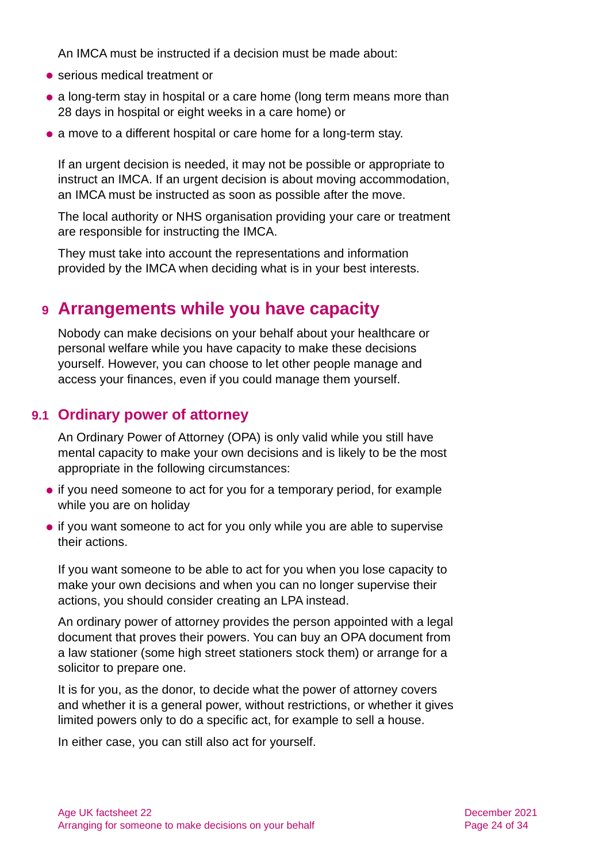An IMCA must be instructed if a decision must be made about:

- serious medical treatment or
- a long-term stay in hospital or a care home (long term means more than 28 days in hospital or eight weeks in a care home) or
- a move to a different hospital or care home for a long-term stay.

If an urgent decision is needed, it may not be possible or appropriate to instruct an IMCA. If an urgent decision is about moving accommodation, an IMCA must be instructed as soon as possible after the move.

The local authority or NHS organisation providing your care or treatment are responsible for instructing the IMCA.

They must take into account the representations and information provided by the IMCA when deciding what is in your best interests.

# <span id="page-23-0"></span>**9 Arrangements while you have capacity**

Nobody can make decisions on your behalf about your healthcare or personal welfare while you have capacity to make these decisions yourself. However, you can choose to let other people manage and access your finances, even if you could manage them yourself.

### **9.1 Ordinary power of attorney**

An Ordinary Power of Attorney (OPA) is only valid while you still have mental capacity to make your own decisions and is likely to be the most appropriate in the following circumstances:

- if you need someone to act for you for a temporary period, for example while you are on holiday
- if you want someone to act for you only while you are able to supervise their actions.

If you want someone to be able to act for you when you lose capacity to make your own decisions and when you can no longer supervise their actions, you should consider creating an LPA instead.

An ordinary power of attorney provides the person appointed with a legal document that proves their powers. You can buy an OPA document from a law stationer (some high street stationers stock them) or arrange for a solicitor to prepare one.

It is for you, as the donor, to decide what the power of attorney covers and whether it is a general power, without restrictions, or whether it gives limited powers only to do a specific act, for example to sell a house.

In either case, you can still also act for yourself.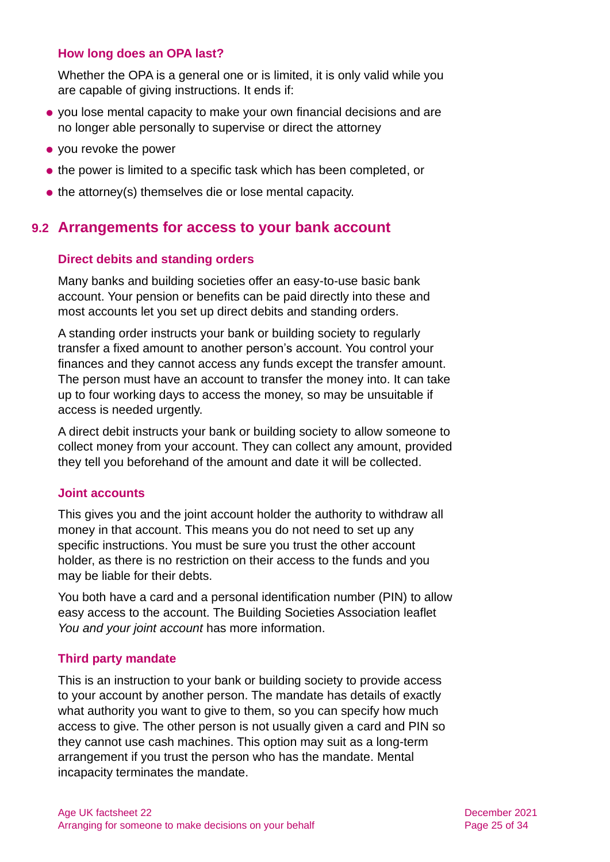#### **How long does an OPA last?**

Whether the OPA is a general one or is limited, it is only valid while you are capable of giving instructions. It ends if:

- ⚫ you lose mental capacity to make your own financial decisions and are no longer able personally to supervise or direct the attorney
- you revoke the power
- the power is limited to a specific task which has been completed, or
- the attorney(s) themselves die or lose mental capacity.

### **9.2 Arrangements for access to your bank account**

#### **Direct debits and standing orders**

Many banks and building societies offer an easy-to-use basic bank account. Your pension or benefits can be paid directly into these and most accounts let you set up direct debits and standing orders.

A standing order instructs your bank or building society to regularly transfer a fixed amount to another person's account. You control your finances and they cannot access any funds except the transfer amount. The person must have an account to transfer the money into. It can take up to four working days to access the money, so may be unsuitable if access is needed urgently.

A direct debit instructs your bank or building society to allow someone to collect money from your account. They can collect any amount, provided they tell you beforehand of the amount and date it will be collected.

#### **Joint accounts**

This gives you and the joint account holder the authority to withdraw all money in that account. This means you do not need to set up any specific instructions. You must be sure you trust the other account holder, as there is no restriction on their access to the funds and you may be liable for their debts.

You both have a card and a personal identification number (PIN) to allow easy access to the account. The Building Societies Association leaflet *[You and your joint](https://www.bsa.org.uk/information/consumer-factsheets/savings/you-and-your-joint-account) account* has more information.

#### **Third party mandate**

This is an instruction to your bank or building society to provide access to your account by another person. The mandate has details of exactly what authority you want to give to them, so you can specify how much access to give. The other person is not usually given a card and PIN so they cannot use cash machines. This option may suit as a long-term arrangement if you trust the person who has the mandate. Mental incapacity terminates the mandate.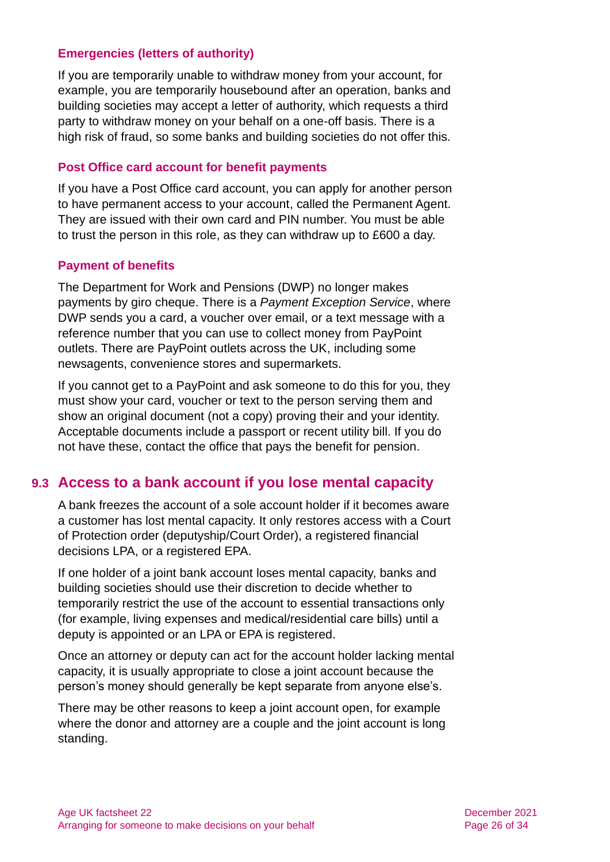#### **Emergencies (letters of authority)**

If you are temporarily unable to withdraw money from your account, for example, you are temporarily housebound after an operation, banks and building societies may accept a letter of authority, which requests a third party to withdraw money on your behalf on a one-off basis. There is a high risk of fraud, so some banks and building societies do not offer this.

#### **Post Office card account for benefit payments**

If you have a Post Office card account, you can apply for another person to have permanent access to your account, called the Permanent Agent. They are issued with their own card and PIN number. You must be able to trust the person in this role, as they can withdraw up to £600 a day.

#### **Payment of benefits**

The Department for Work and Pensions (DWP) no longer makes payments by giro cheque. There is a *Payment Exception Service*, where DWP sends you a card, a voucher over email, or a text message with a reference number that you can use to collect money from PayPoint outlets. There are PayPoint outlets across the UK, including some newsagents, convenience stores and supermarkets.

If you cannot get to a PayPoint and ask someone to do this for you, they must show your card, voucher or text to the person serving them and show an original document (not a copy) proving their and your identity. Acceptable documents include a passport or recent utility bill. If you do not have these, contact the office that pays the benefit for pension.

### **9.3 Access to a bank account if you lose mental capacity**

A bank freezes the account of a sole account holder if it becomes aware a customer has lost mental capacity. It only restores access with a Court of Protection order (deputyship/Court Order), a registered financial decisions LPA, or a registered EPA.

If one holder of a joint bank account loses mental capacity, banks and building societies should use their discretion to decide whether to temporarily restrict the use of the account to essential transactions only (for example, living expenses and medical/residential care bills) until a deputy is appointed or an LPA or EPA is registered.

Once an attorney or deputy can act for the account holder lacking mental capacity, it is usually appropriate to close a joint account because the person's money should generally be kept separate from anyone else's.

There may be other reasons to keep a joint account open, for example where the donor and attorney are a couple and the joint account is long standing.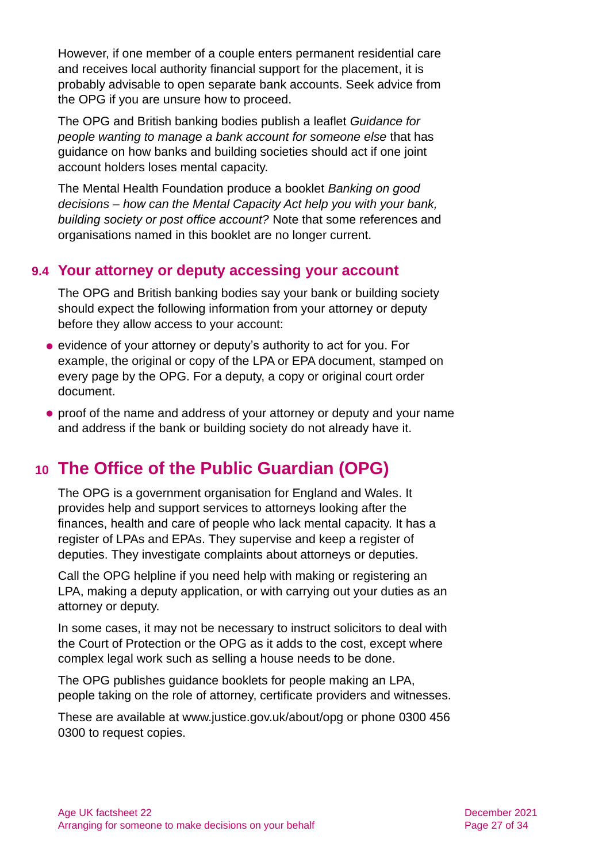However, if one member of a couple enters permanent residential care and receives local authority financial support for the placement, it is probably advisable to open separate bank accounts. Seek advice from the OPG if you are unsure how to proceed.

The OPG and British banking bodies publish a leaflet *[Guidance for](https://www.gov.uk/government/publications/deputy-and-attorney-guidance-dealing-with-banks)  [people wanting to manage a bank account for someone else](https://www.gov.uk/government/publications/deputy-and-attorney-guidance-dealing-with-banks)* that has guidance on how banks and building societies should act if one joint account holders loses mental capacity.

The Mental Health Foundation produce a booklet *[Banking on good](https://www.mentalhealth.org.uk/sites/default/files/banking_good_decisions_summary.pdf)  decisions – [how can the Mental Capacity Act help you with your bank,](https://www.mentalhealth.org.uk/sites/default/files/banking_good_decisions_summary.pdf)  [building society or post office account?](https://www.mentalhealth.org.uk/sites/default/files/banking_good_decisions_summary.pdf)* Note that some references and organisations named in this booklet are no longer current.

# **9.4 Your attorney or deputy accessing your account**

The OPG and British banking bodies say your bank or building society should expect the following information from your attorney or deputy before they allow access to your account:

- evidence of your attorney or deputy's authority to act for you. For example, the original or copy of the LPA or EPA document, stamped on every page by the OPG. For a deputy, a copy or original court order document.
- <span id="page-26-0"></span>⚫ proof of the name and address of your attorney or deputy and your name and address if the bank or building society do not already have it.

# **10 The Office of the Public Guardian (OPG)**

The OPG is a government organisation for England and Wales. It provides help and support services to attorneys looking after the finances, health and care of people who lack mental capacity. It has a register of LPAs and EPAs. They supervise and keep a register of deputies. They investigate complaints about attorneys or deputies.

Call the OPG helpline if you need help with making or registering an LPA, making a deputy application, or with carrying out your duties as an attorney or deputy.

In some cases, it may not be necessary to instruct solicitors to deal with the Court of Protection or the OPG as it adds to the cost, except where complex legal work such as selling a house needs to be done.

The OPG publishes guidance booklets for people making an LPA, people taking on the role of attorney, certificate providers and witnesses.

These are available at [www.justice.gov.uk/about/opg](http://www.justice.gov.uk/about/opg) or phone 0300 456 0300 to request copies.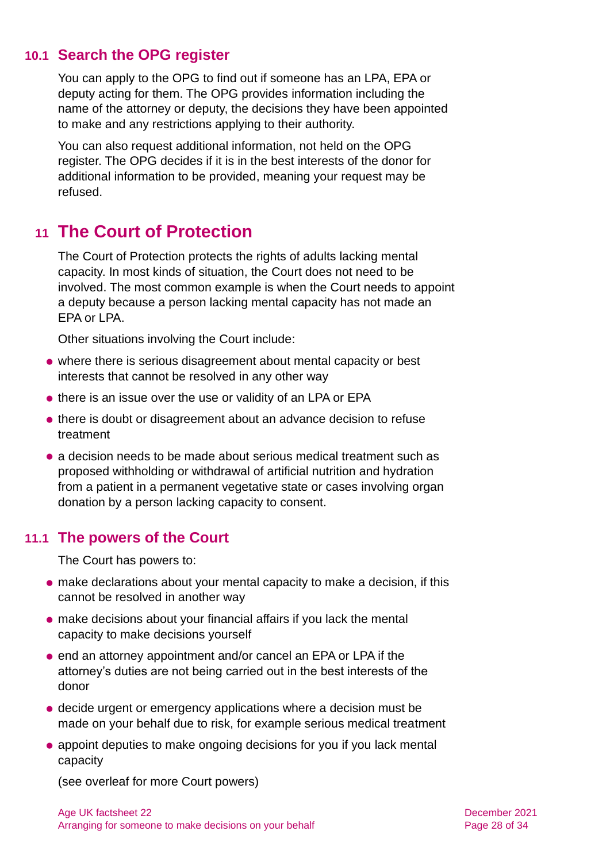### **10.1 Search the OPG register**

You can apply to the OPG to find out if someone has an LPA, EPA or deputy acting for them. The OPG provides information including the name of the attorney or deputy, the decisions they have been appointed to make and any restrictions applying to their authority.

You can also request additional information, not held on the OPG register. The OPG decides if it is in the best interests of the donor for additional information to be provided, meaning your request may be refused.

# <span id="page-27-0"></span>**11 The Court of Protection**

The Court of Protection protects the rights of adults lacking mental capacity. In most kinds of situation, the Court does not need to be involved. The most common example is when the Court needs to appoint a deputy because a person lacking mental capacity has not made an EPA or LPA.

Other situations involving the Court include:

- ⚫ where there is serious disagreement about mental capacity or best interests that cannot be resolved in any other way
- there is an issue over the use or validity of an LPA or EPA
- ⚫ there is doubt or disagreement about an advance decision to refuse treatment
- a decision needs to be made about serious medical treatment such as proposed withholding or withdrawal of artificial nutrition and hydration from a patient in a permanent vegetative state or cases involving organ donation by a person lacking capacity to consent.

### **11.1 The powers of the Court**

The Court has powers to:

- ⚫ make declarations about your mental capacity to make a decision, if this cannot be resolved in another way
- ⚫ make decisions about your financial affairs if you lack the mental capacity to make decisions yourself
- end an attorney appointment and/or cancel an EPA or LPA if the attorney's duties are not being carried out in the best interests of the donor
- ⚫ decide urgent or emergency applications where a decision must be made on your behalf due to risk, for example serious medical treatment
- appoint deputies to make ongoing decisions for you if you lack mental capacity

(see overleaf for more Court powers)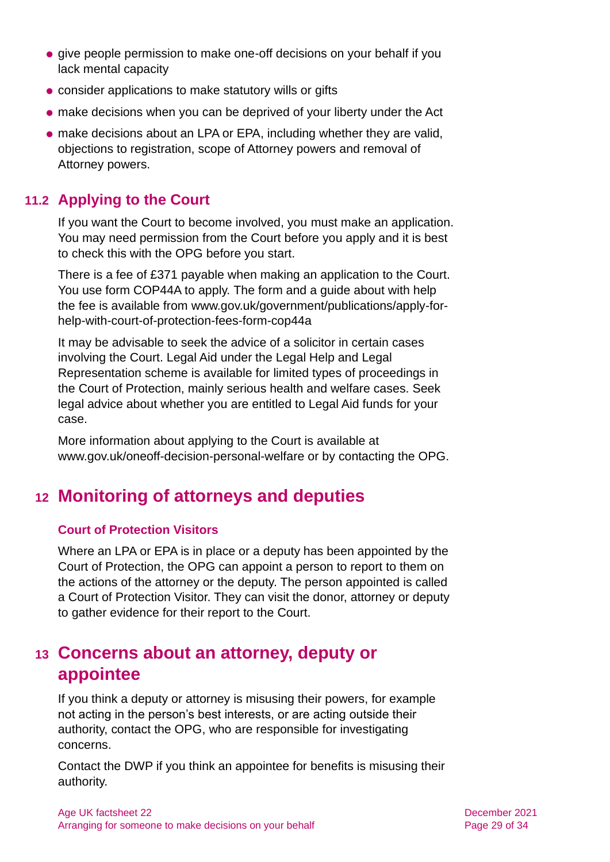- give people permission to make one-off decisions on your behalf if you lack mental capacity
- ⚫ consider applications to make statutory wills or gifts
- ⚫ make decisions when you can be deprived of your liberty under the Act
- ⚫ make decisions about an LPA or EPA, including whether they are valid, objections to registration, scope of Attorney powers and removal of Attorney powers.

# **11.2 Applying to the Court**

If you want the Court to become involved, you must make an application. You may need permission from the Court before you apply and it is best to check this with the OPG before you start.

There is a fee of £371 payable when making an application to the Court. You use form COP44A to apply. The form and a guide about with help the fee is available from [www.gov.uk/government/publications/apply-for](http://www.gov.uk/government/publications/apply-for-help-with-court-of-protection-fees-form-cop44a)[help-with-court-of-protection-fees-form-cop44a](http://www.gov.uk/government/publications/apply-for-help-with-court-of-protection-fees-form-cop44a)

It may be advisable to seek the advice of a solicitor in certain cases involving the Court. Legal Aid under the Legal Help and Legal Representation scheme is available for limited types of proceedings in the Court of Protection, mainly serious health and welfare cases. Seek legal advice about whether you are entitled to Legal Aid funds for your case.

<span id="page-28-0"></span>More information about applying to the Court is available at [www.gov.uk/oneoff-decision-personal-welfare](http://www.gov.uk/oneoff-decision-personal-welfare) or by contacting the OPG.

# **12 Monitoring of attorneys and deputies**

### **Court of Protection Visitors**

Where an LPA or EPA is in place or a deputy has been appointed by the Court of Protection, the OPG can appoint a person to report to them on the actions of the attorney or the deputy. The person appointed is called a Court of Protection Visitor. They can visit the donor, attorney or deputy to gather evidence for their report to the Court.

# <span id="page-28-1"></span>**13 Concerns about an attorney, deputy or appointee**

If you think a deputy or attorney is misusing their powers, for example not acting in the person's best interests, or are acting outside their authority, contact the OPG, who are responsible for investigating concerns.

Contact the DWP if you think an appointee for benefits is misusing their authority.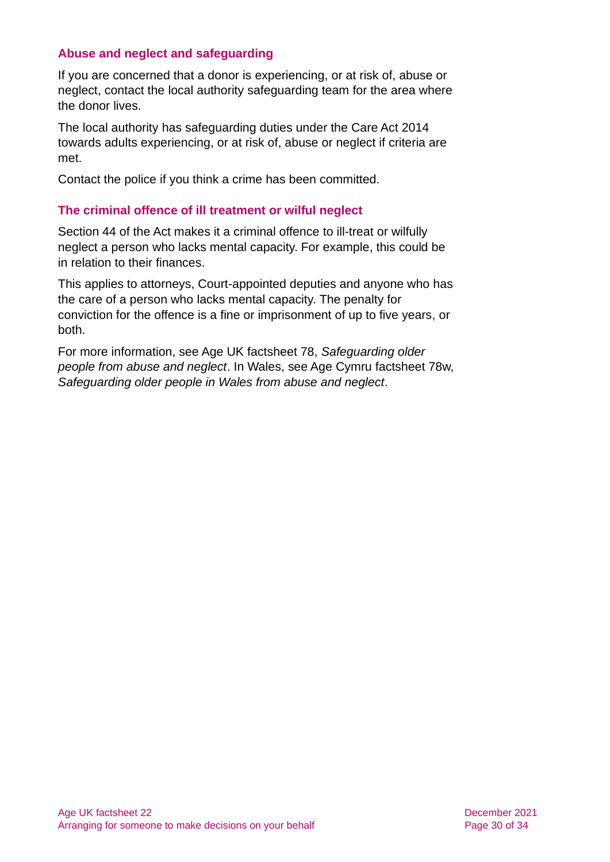#### **Abuse and neglect and safeguarding**

If you are concerned that a donor is experiencing, or at risk of, abuse or neglect, contact the local authority safeguarding team for the area where the donor lives.

The local authority has safeguarding duties under the Care Act 2014 towards adults experiencing, or at risk of, abuse or neglect if criteria are met.

Contact the police if you think a crime has been committed.

#### **The criminal offence of ill treatment or wilful neglect**

Section 44 of the Act makes it a criminal offence to ill-treat or wilfully neglect a person who lacks mental capacity. For example, this could be in relation to their finances.

This applies to attorneys, Court-appointed deputies and anyone who has the care of a person who lacks mental capacity. The penalty for conviction for the offence is a fine or imprisonment of up to five years, or both.

For more information, see Age UK factsheet 78, *[Safeguarding older](https://www.ageuk.org.uk/globalassets/age-uk/documents/factsheets/fs78_safeguarding_older_people_from_abuse_fcs.pdf)  [people from abuse and neglect](https://www.ageuk.org.uk/globalassets/age-uk/documents/factsheets/fs78_safeguarding_older_people_from_abuse_fcs.pdf)*. In Wales, see Age Cymru factsheet 78w, *[Safeguarding older people in Wales from abuse and neglect](https://www.ageuk.org.uk/globalassets/age-cymru/documents/information-guides-and-factsheets/fs78w.pdf)*.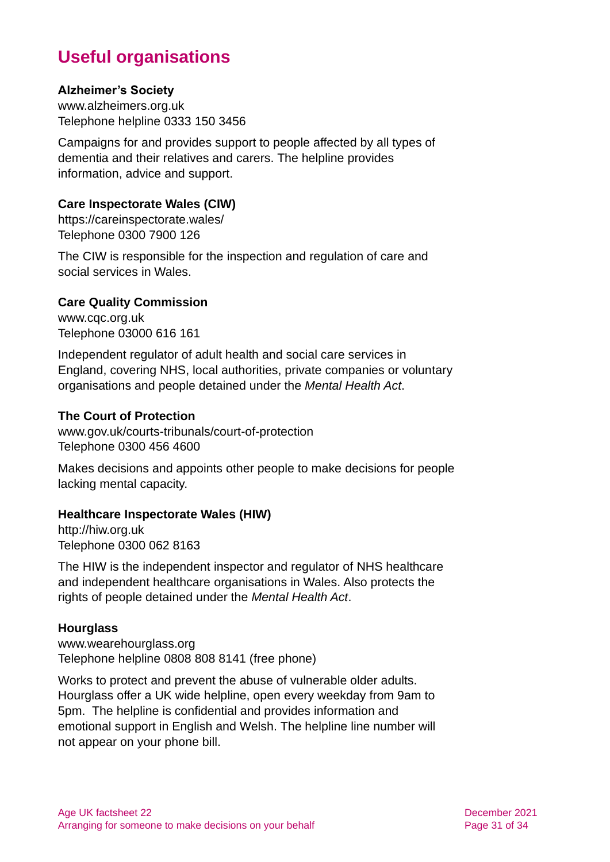# **Useful organisations**

#### <span id="page-30-0"></span>**Alzheimer's Society**

[www.alzheimers.org.uk](http://www.alzheimers.org.uk/) Telephone helpline 0333 150 3456

Campaigns for and provides support to people affected by all types of dementia and their relatives and carers. The helpline provides information, advice and support.

#### **Care Inspectorate Wales (CIW)**

<https://careinspectorate.wales/> Telephone 0300 7900 126

The CIW is responsible for the inspection and regulation of care and social services in Wales.

#### **Care Quality Commission**

[www.cqc.org.uk](http://www.cqc.org.uk/) Telephone 03000 616 161

Independent regulator of adult health and social care services in England, covering NHS, local authorities, private companies or voluntary organisations and people detained under the *Mental Health Act*.

#### **The Court of Protection**

[www.gov.uk/courts-tribunals/court-of-protection](http://www.gov.uk/courts-tribunals/court-of-protection) Telephone 0300 456 4600

Makes decisions and appoints other people to make decisions for people lacking mental capacity.

#### **Healthcare Inspectorate Wales (HIW)**

[http://hiw.org.uk](http://hiw.org.uk/) Telephone 0300 062 8163

The HIW is the independent inspector and regulator of NHS healthcare and independent healthcare organisations in Wales. Also protects the rights of people detained under the *Mental Health Act*.

#### **Hourglass**

[www.wearehourglass.org](http://www.wearehourglass.org/) Telephone helpline 0808 808 8141 (free phone)

Works to protect and prevent the abuse of vulnerable older adults. Hourglass offer a UK wide helpline, open every weekday from 9am to 5pm. The helpline is confidential and provides information and emotional support in English and Welsh. The helpline line number will not appear on your phone bill.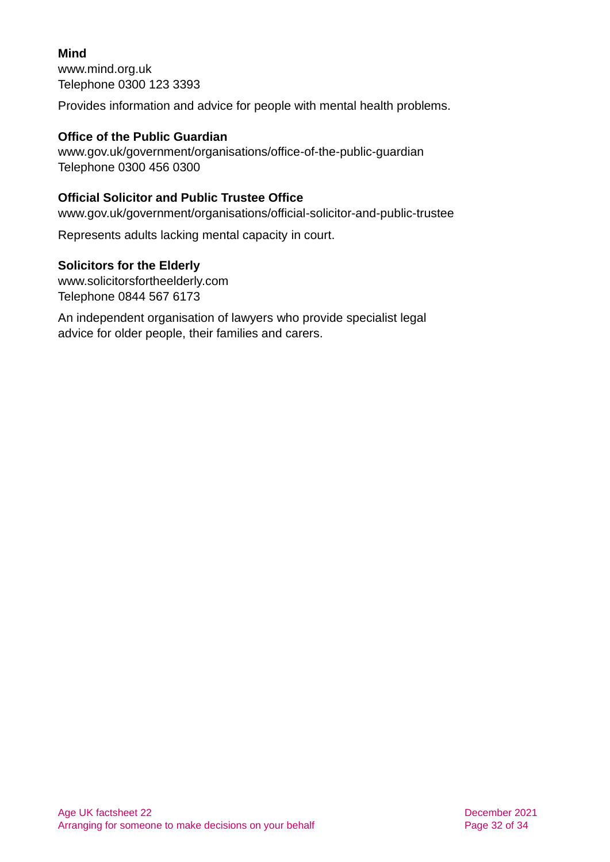### **Mind**

[www.mind.org.uk](http://www.mind.org.uk/) Telephone 0300 123 3393

Provides information and advice for people with mental health problems.

### **Office of the Public Guardian**

[www.gov.uk/government/organisations/office-of-the-public-guardian](http://www.gov.uk/government/organisations/office-of-the-public-guardian) Telephone 0300 456 0300

### **Official Solicitor and Public Trustee Office**

[www.gov.uk/government/organisations/official-solicitor-and-public-trustee](http://www.gov.uk/government/organisations/official-solicitor-and-public-trustee)

Represents adults lacking mental capacity in court.

### **Solicitors for the Elderly**

[www.solicitorsfortheelderly.com](http://www.solicitorsfortheelderly.com/) Telephone 0844 567 6173

An independent organisation of lawyers who provide specialist legal advice for older people, their families and carers.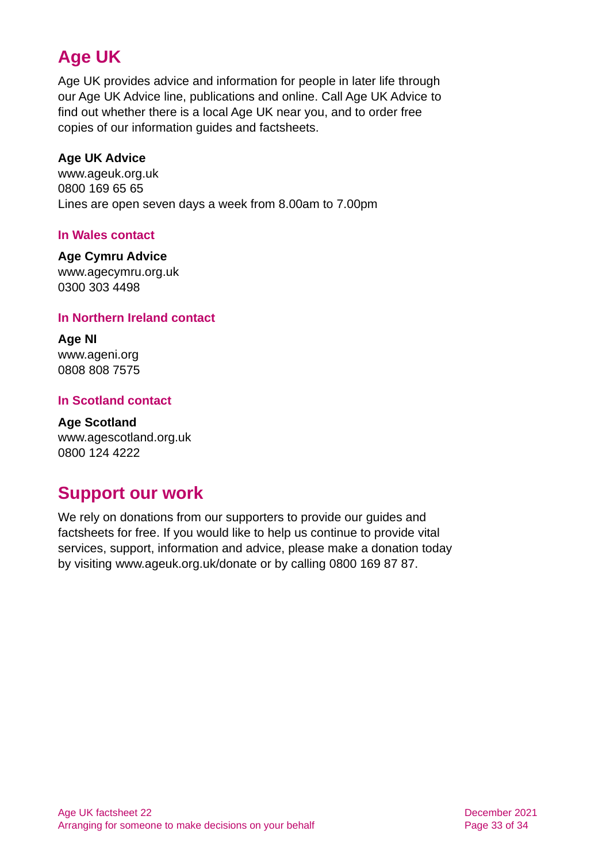# **Age UK**

Age UK provides advice and information for people in later life through our Age UK Advice line, publications and online. Call Age UK Advice to find out whether there is a local Age UK near you, and to order free copies of our information guides and factsheets.

#### <span id="page-32-1"></span>**Age UK Advice**

[www.ageuk.org.uk](http://www.ageuk.org.uk/) 0800 169 65 65 Lines are open seven days a week from 8.00am to 7.00pm

#### **In Wales contact**

#### **Age Cymru Advice**

[www.agecymru.org.uk](http://www.agecymru.org.uk/) 0300 303 4498

#### <span id="page-32-0"></span>**In Northern Ireland contact**

**Age NI** [www.ageni.org](http://www.ageni.org/) 0808 808 7575

#### **In Scotland contact**

<span id="page-32-2"></span>**Age Scotland** [www.agescotland.org.uk](http://www.agescotland.org.uk/) 0800 124 4222

# **Support our work**

We rely on donations from our supporters to provide our guides and factsheets for free. If you would like to help us continue to provide vital services, support, information and advice, please make a donation today by visiting [www.ageuk.org.uk/donate](http://www.ageuk.org.uk/donate) or by calling 0800 169 87 87.